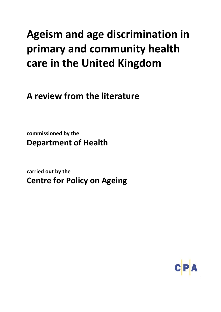# **Ageism and age discrimination in primary and community health care in the United Kingdom**

**A review from the literature**

**commissioned by the Department of Health** 

**carried out by the Centre for Policy on Ageing**

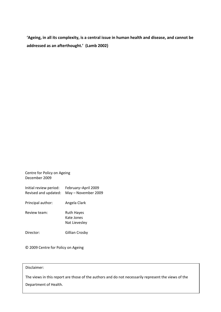**'Ageing, in all its complexity, is a central issue in human health and disease, and cannot be addressed as an afterthought.' (Lamb 2002)**

| Centre for Policy on Ageing<br>December 2009   |                                            |
|------------------------------------------------|--------------------------------------------|
| Initial review period:<br>Revised and updated: | February-April 2009<br>May – November 2009 |
| Principal author:                              | Angela Clark                               |
| Review team:                                   | Ruth Hayes<br>Kate Jones<br>Nat Lievesley  |
| Director:                                      | Gillian Crosby                             |

© 2009 Centre for Policy on Ageing

# Disclaimer:

The views in this report are those of the authors and do not necessarily represent the views of the Department of Health.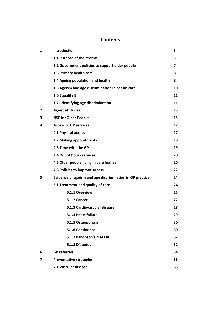# **Contents**

| $\mathbf{1}$   | Introduction                                             | 5  |
|----------------|----------------------------------------------------------|----|
|                | 1.1 Purpose of the review                                | 5  |
|                | 1.2 Government policies to support older people          | 7  |
|                | 1.3 Primary health care                                  | 8  |
|                | 1.4 Ageing population and health                         | 8  |
|                | 1.5 Ageism and age discrimination in health care         | 10 |
|                | 1.6 Equality Bill                                        | 11 |
|                | 1.7. Identifying age discrimination                      | 11 |
| $\overline{2}$ | <b>Ageist attitudes</b>                                  | 13 |
| 3              | <b>NSF for Older People</b>                              | 15 |
| 4              | <b>Access to GP services</b>                             | 17 |
|                | <b>4.1 Physical access</b>                               | 17 |
|                | <b>4.2 Making appointments</b>                           | 18 |
|                | 4.3 Time with the GP                                     | 19 |
|                | 4.4 Out of hours services                                | 20 |
|                | 4.5 Older people living in care homes                    | 20 |
|                | 4.6 Policies to improve access                           | 22 |
| 5              | Evidence of ageism and age discrimination in GP practice | 24 |
|                | 5.1 Treatment and quality of care                        | 24 |
|                | 5.1.1 Overview                                           | 25 |
|                | 5.1.2 Cancer                                             | 27 |
|                | 5.1.3 Cardiovascular disease                             | 28 |
|                | 5.1.4 Heart failure                                      | 29 |
|                | 5.1.5 Osteoporosis                                       | 30 |
|                | 5.1.6 Continence                                         | 30 |
|                | 5.1.7 Parkinson's disease                                | 32 |
|                | 5.1.8 Diabetes                                           | 32 |
| 6              | <b>GP</b> referrals                                      | 34 |
| 7              | <b>Preventative strategies</b>                           | 36 |
|                | 7.1 Vascular disease                                     | 36 |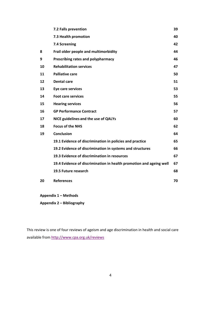|    | 7.2 Falls prevention                                                | 39 |
|----|---------------------------------------------------------------------|----|
|    | 7.3 Health promotion                                                | 40 |
|    | 7.4 Screening                                                       | 42 |
| 8  | Frail older people and multimorbidity                               | 44 |
| 9  | Prescribing rates and polypharmacy                                  | 46 |
| 10 | <b>Rehabilitation services</b>                                      | 47 |
| 11 | <b>Palliative care</b>                                              | 50 |
| 12 | <b>Dental care</b>                                                  | 51 |
| 13 | Eye care services                                                   | 53 |
| 14 | <b>Foot care services</b>                                           | 55 |
| 15 | <b>Hearing services</b>                                             | 56 |
| 16 | <b>GP Performance Contract</b>                                      | 57 |
| 17 | NICE guidelines and the use of QALYs                                | 60 |
| 18 | <b>Focus of the NHS</b>                                             | 62 |
| 19 | <b>Conclusion</b>                                                   | 64 |
|    | 19.1 Evidence of discrimination in policies and practice            | 65 |
|    | 19.2 Evidence of discrimination in systems and structures           | 66 |
|    | 19.3 Evidence of discrimination in resources                        | 67 |
|    | 19.4 Evidence of discrimination in health promotion and ageing well | 67 |
|    | 19.5 Future research                                                | 68 |
| 20 | <b>References</b>                                                   | 70 |

**Appendix 1 – Methods**

**Appendix 2 – Bibliography**

This review is one of four reviews of ageism and age discrimination in health and social care available from http://www.cpa.org.uk/reviews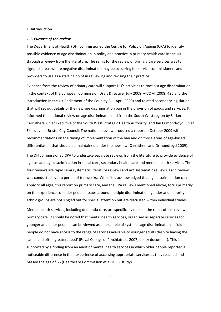# **1. Introduction**

#### *1.1. Purpose of the review*

The Department of Health (DH) commissioned the Centre for Policy on Ageing (CPA) to identify possible evidence of age discrimination in policy and practice in primary health care in the UK through a review from the literature. The remit for the review of primary care services was to signpost areas where negative discrimination may be occurring for service commissioners and providers to use as a starting point in reviewing and revising their practice.

Evidence from the review of primary care will support DH's activities to root out age discrimination in the context of the European Commission Draft Directive (July 2008) – COM (2008) 426 and the introduction in the UK Parliament of the Equality Bill (April 2009) and related secondary legislation that will set out details of the new age discrimination ban in the provision of goods and services. It informed the national review on age discrimination led from the South West region by Sir Ian Carruthers, Chief Executive of the South West Strategic Health Authority, and Jan Ormondroyd, Chief Executive of Bristol City Council. The national review produced a report in October 2009 with recommendations on the timing of implementation of the ban and on those areas of age-based differentiation that should be maintained under the new law (Carruthers and Ormondroyd 2009).

The DH commissioned CPA to undertake separate reviews from the literature to provide evidence of ageism and age discrimination in social care, secondary health care and mental health services. The four reviews are rapid semi systematic literature reviews and not systematic reviews. Each review was conducted over a period of ten weeks. While it is acknowledged that age discrimination can apply to all ages, this report on primary care, and the CPA reviews mentioned above, focus primarily on the experiences of older people. Issues around multiple discrimination, gender and minority ethnic groups are not singled out for special attention but are discussed within individual studies.

Mental health services, including dementia care, are specifically outside the remit of this review of primary care. It should be noted that mental health services, organised as separate services for younger and older people, can be viewed as an example of systemic age discrimination as 'older people do not have access to the range of services available to younger adults despite having the same, and often greater, need' (Royal College of Psychiatrists 2007, policy document). This is supported by a finding from an audit of mental health services in which older people reported a noticeable difference in their experience of accessing appropriate services as they reached and passed the age of 65 (Healthcare Commission et al 2006, study).

5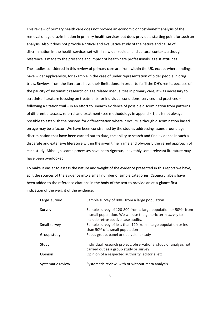This review of primary health care does not provide an economic or cost-benefit analysis of the removal of age discrimination in primary health services but does provide a starting point for such an analysis. Also it does not provide a critical and evaluative study of the nature and cause of discrimination in the health services set within a wider societal and cultural context, although reference is made to the presence and impact of health care professionals' ageist attitudes.

The studies considered in this review of primary care are from within the UK, except where findings have wider applicability, for example in the case of under representation of older people in drug trials. Reviews from the literature have their limitations. In order to fulfil the DH's remit, because of the paucity of systematic research on age related inequalities in primary care, it was necessary to scrutinise literature focusing on treatments for individual conditions, services and practices – following a citation trail – in an effort to unearth evidence of possible discrimination from patterns of differential access, referral and treatment (see methodology in appendix 1). It is not always possible to establish the reasons for differentiation where it occurs, although discrimination based on age may be a factor. We have been constrained by the studies addressing issues around age discrimination that have been carried out to date, the ability to search and find evidence in such a disparate and extensive literature within the given time frame and obviously the varied approach of each study. Although search processes have been rigorous, inevitably some relevant literature may have been overlooked.

To make it easier to assess the nature and weight of the evidence presented in this report we have, split the sources of the evidence into a small number of simple categories. Category labels have been added to the reference citations in the body of the text to provide an at-a-glance first indication of the weight of the evidence.

| Large survey      | Sample survey of 800+ from a large population                                                                                                                     |  |  |
|-------------------|-------------------------------------------------------------------------------------------------------------------------------------------------------------------|--|--|
| Survey            | Sample survey of 120-800 from a large population or 50%+ from<br>a small population. We will use the generic term survey to<br>include retrospective case audits. |  |  |
| Small survey      | Sample survey of less than 120 from a large population or less<br>than 50% of a small population                                                                  |  |  |
| Group study       | Focus group, panel or equivalent study                                                                                                                            |  |  |
| Study             | Individual research project, observational study or analysis not<br>carried out as a group study or survey                                                        |  |  |
| Opinion           | Opinion of a respected authority, editorial etc.                                                                                                                  |  |  |
| Systematic review | Systematic review, with or without meta analysis                                                                                                                  |  |  |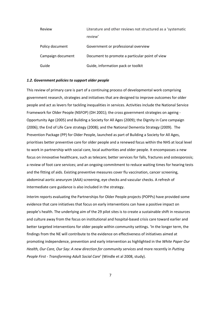| Review            | Literature and other reviews not structured as a 'systematic |  |
|-------------------|--------------------------------------------------------------|--|
|                   | review'                                                      |  |
| Policy document   | Government or professional overview                          |  |
| Campaign document | Document to promote a particular point of view               |  |
| Guide             | Guide, information pack or toolkit                           |  |

# *1.2. Government policies to support older people*

This review of primary care is part of a continuing process of developmental work comprising government research, strategies and initiatives that are designed to improve outcomes for older people and act as levers for tackling inequalities in services. Activities include the National Service Framework for Older People (NSFOP) (DH 2001); the cross government strategies on ageing ‐ Opportunity Age (2005) and Building a Society for All Ages (2009); the Dignity in Care campaign (2006); the End of Life Care strategy (2008); and the National Dementia Strategy (2009). The Prevention Package (PP) for Older People, launched as part of Building a Society for All Ages, prioritises better preventive care for older people and a renewed focus within the NHS at local level to work in partnership with social care, local authorities and older people. It encompasses a new focus on innovative healthcare, such as telecare; better services for falls, fractures and osteoporosis; a review of foot care services; and an ongoing commitment to reduce waiting times for hearing tests and the fitting of aids. Existing preventive measures cover flu vaccination, cancer screening, abdominal aortic aneurysm (AAA) screening, eye checks and vascular checks. A refresh of Intermediate care guidance is also included in the strategy.

Interim reports evaluating the Partnerships for Older People projects (POPPs) have provided some evidence that care initiatives that focus on early interventions can have a positive impact on people's health. The underlying aim of the 29 pilot sites is to create a sustainable shift in resources and culture away from the focus on institutional and hospital‐based crisis care toward earlier and better targeted interventions for older people within community settings. 'In the longer term, the findings from the NE will contribute to the evidence on effectiveness of initiatives aimed at promoting independence, prevention and early intervention as highlighted in the *White Paper Our Health, Our Care, Our Say: A new direction for community services* and more recently in *Putting People First ‐ Transforming Adult Social Care*' (Windle et al 2008, study).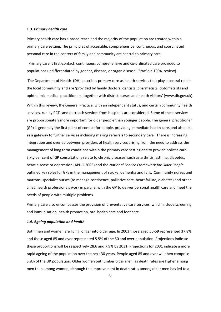#### *1.3. Primary health care*

Primary health care has a broad reach and the majority of the population are treated within a primary care setting. The principles of accessible, comprehensive, continuous, and coordinated personal care in the context of family and community are central to primary care.

'Primary care is first‐contact, continuous, comprehensive and co‐ordinated care provided to populations undifferentiated by gender, disease, or organ disease' (Starfield 1994, review).

The Department of Health (DH) describes primary care as health services that play a central role in the local community and are 'provided by family doctors, dentists, pharmacists, optometrists and ophthalmic medical practitioners, together with district nurses and health visitors' (www.dh.gov.uk).

Within this review, the General Practice, with an independent status, and certain community health services, run by PCTs and outreach services from hospitals are considered. Some of these services are proportionately more important for older people than younger people. The general practitioner (GP) is generally the first point of contact for people, providing immediate health care, and also acts as a gateway to further services including making referrals to secondary care. There is increasing integration and overlap between providers of health services arising from the need to address the management of long term conditions within the primary care setting and to provide holistic care. Sixty per cent of GP consultations relate to chronic diseases, such as arthritis, asthma, diabetes, heart disease or depression (APHO 2008) and the *National Service Framework for Older People* outlined key roles for GPs in the management of stroke, dementia and falls. Community nurses and matrons, specialist nurses (to manage continence, palliative care, heart failure, diabetes) and other allied health professionals work in parallel with the GP to deliver personal health care and meet the needs of people with multiple problems.

Primary care also encompasses the provision of preventative care services, which include screening and immunisation, health promotion, oral health care and foot care.

# *1.4. Ageing population and health*

Both men and women are living longer into older age. In 2003 those aged 50‐59 represented 37.8% and those aged 85 and over represented 5.5% of the 50 and over population. Projections indicate these proportions will be respectively 28.6 and 7.9% by 2031. Projections for 2031 indicate a more rapid ageing of the population over the next 30 years. People aged 85 and over will then comprise 3.8% of the UK population. Older women outnumber older men, as death rates are higher among men than among women, although the improvement in death rates among older men has led to a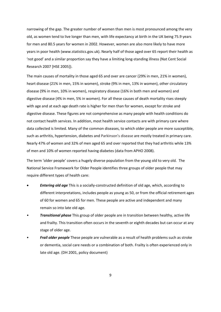narrowing of the gap. The greater number of women than men is most pronounced among the very old, as women tend to live longer than men, with life expectancy at birth in the UK being 75.9 years for men and 80.5 years for women in 2002. However, women are also more likely to have more years in poor health (www.statistics.gov.uk). Nearly half of those aged over 65 report their health as 'not good' and a similar proportion say they have a limiting long‐standing illness (Nat Cent Social Research 2007 [HSE 2005]).

The main causes of mortality in those aged 65 and over are cancer (29% in men, 21% in women), heart disease (21% in men, 15% in women), stroke (9% in men, 13% in women), other circulatory disease (9% in men, 10% in women), respiratory disease (16% in both men and women) and digestive disease (4% in men, 5% in women). For all these causes of death mortality rises steeply with age and at each age death rate is higher for men than for women, except for stroke and digestive disease. These figures are not comprehensive as many people with health conditions do not contact health services. In addition, most health service contacts are with primary care where data collected is limited. Many of the common diseases, to which older people are more susceptible, such as arthritis, hypertension, diabetes and Parkinson's disease are mostly treated in primary care. Nearly 47% of women and 32% of men aged 65 and over reported that they had arthritis while 13% of men and 10% of women reported having diabetes (data from APHO 2008).

The term 'older people' covers a hugely diverse population from the young old to very old. The National Service Framework for Older People identifies three groups of older people that may require different types of health care:

- *Entering old age* This is a socially‐constructed definition of old age, which, according to different interpretations, includes people as young as 50, or from the official retirement ages of 60 for women and 65 for men. These people are active and independent and many remain so into late old age.
- *Transitional phase* This group of older people are in transition between healthy, active life and frailty. This transition often occurs in the seventh or eighth decades but can occur at any stage of older age.
- *Frail older people* These people are vulnerable as a result of health problems such as stroke or dementia, social care needs or a combination of both. Frailty is often experienced only in late old age. (DH 2001, policy document)

9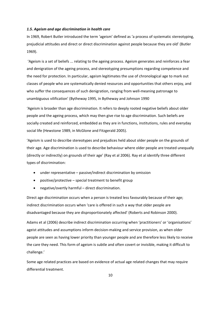# *1.5. Ageism and age discrimination in health care*

In 1969, Robert Butler introduced the term 'ageism' defined as 'a process of systematic stereotyping, prejudicial attitudes and direct or direct discrimination against people because they are old' (Butler 1969).

'Ageism is a set of beliefs ... relating to the ageing process. Ageism generates and reinforces a fear and denigration of the ageing process, and stereotyping presumptions regarding competence and the need for protection. In particular, ageism legitimates the use of chronological age to mark out classes of people who are systematically denied resources and opportunities that others enjoy, and who suffer the consequences of such denigration, ranging from well-meaning patronage to unambiguous vilification' (Bytheway 1995, in Bytheway and Johnson 1990

'Ageism is broader than age discrimination. It refers to deeply rooted negative beliefs about older people and the ageing process, which may then give rise to age discrimination. Such beliefs are socially created and reinforced, embedded as they are in functions, institutions, rules and everyday social life (Hewstone 1989, in McGlone and Fitzgerald 2005).

'Ageism is used to describe stereotypes and prejudices held about older people on the grounds of their age. Age discrimination is used to describe behaviour where older people are treated unequally (directly or indirectly) on grounds of their age' (Ray et al 2006). Ray et al identify three different types of discrimination:

- under representative passive/indirect discrimination by omission
- positive/protective special treatment to benefit group
- negative/overtly harmful direct discrimination.

Direct age discrimination occurs when a person is treated less favourably because of their age; indirect discrimination occurs when 'care is offered in such a way that older people are disadvantaged because they are disproportionately affected' (Roberts and Robinson 2000).

Adams et al (2006) describe indirect discrimination occurring when 'practitioners' or 'organisations' ageist attitudes and assumptions inform decision‐making and service provision, as when older people are seen as having lower priority than younger people and are therefore less likely to receive the care they need. This form of ageism is subtle and often covert or invisible, making it difficult to challenge.'

Some age related practices are based on evidence of actual age related changes that may require differential treatment.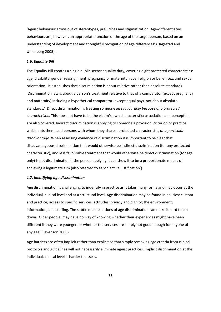'Ageist behaviour grows out of stereotypes, prejudices and stigmatization. Age‐differentiated behaviours are, however, an appropriate function of the age of the target person, based on an understanding of development and thoughtful recognition of age differences' (Hagestad and Uhlenberg 2005).

#### *1.6. Equality Bill*

The Equality Bill creates a single public sector equality duty, covering eight protected characteristics: age, disability, gender reassignment, pregnancy or maternity, race, religion or belief, sex, and sexual orientation. It establishes that discrimination is about relative rather than absolute standards. 'Discrimination law is about a person's treatment relative to that of a comparator (except pregnancy and maternity) including a hypothetical comparator (except equal pay), not about absolute standards.' Direct discrimination is treating someone *less favourably because of a protected characteristic*. This does not have to be the victim's own characteristic: association and perception are also covered. Indirect discrimination is applying to someone a provision, criterion or practice which puts them, and persons with whom they share a protected characteristic, *at a particular disadvantage*. When assessing evidence of discrimination it is important to be clear that disadvantageous discrimination that would otherwise be indirect discrimination (for any protected characteristic), and less favourable treatment that would otherwise be direct discrimination (for age only) is not discrimination if the person applying it can show it to be a proportionate means of achieving a legitimate aim (also referred to as 'objective justification').

# *1.7. Identifying age discrimination*

Age discrimination is challenging to indentify in practice as it takes many forms and may occur at the individual, clinical level and at a structural level. Age discrimination may be found in policies; custom and practice; access to specific services; attitudes; privacy and dignity; the environment; information; and staffing. The subtle manifestations of age discrimination can make it hard to pin down. Older people 'may have no way of knowing whether their experiences might have been different if they were younger, or whether the services are simply not good enough for anyone of any age' (Levenson 2003).

Age barriers are often implicit rather than explicit so that simply removing age criteria from clinical protocols and guidelines will not necessarily eliminate ageist practices. Implicit discrimination at the individual, clinical level is harder to assess.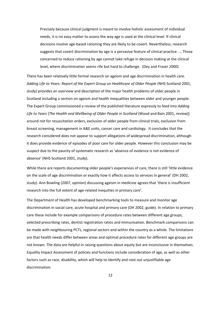Precisely because clinical judgment is meant to involve holistic assessment of individual needs, it is no easy matter to assess the way age is used at the clinical level. If clinical decisions involve age‐based rationing they are likely to be covert. Nevertheless, research suggests that covert discrimination by age is a pervasive feature of clinical practice. ... Those concerned to reduce rationing by age cannot take refuge in decision making at the clinical level, where discrimination seems rife but hard to challenge. (Dey and Fraser 2000)

There has been relatively little formal research on ageism and age discrimination in health care. *Adding Life to Years: Report of the Expert Group on Healthcare of Older People* (NHS Scotland 2001, study) provides an overview and description of the major health problems of older people in Scotland including a section on ageism and health inequalities between older and younger people. The Expert Group commissioned a review of the published literature expressly to feed into *Adding Life to Years* [*The Health and Wellbeing of Older People in Scotland* (Wood and Bain 2001, review)] around not for resuscitation orders, exclusion of older people from clinical trials, exclusion from breast screening, management in A&E units, cancer care and cardiology. It concludes that the research considered does not appear to support allegations of widespread discrimination, although it does provide evidence of episodes of poor care for older people. However this conclusion may be suspect due to the paucity of systematic research as 'absence of evidence is not evidence of absence' (NHS Scotland 2001, study).

While there are reports documenting older people's experiences of care, there is still 'little evidence on the scale of age discrimination or exactly how it affects access to services in general' (DH 2002, study). Ann Bowling (2007, opinion) discussing ageism in medicine agrees that 'there is insufficient research into the full extent of age‐related inequities in primary care'.

The Department of Health has developed benchmarking tools to measure and monitor age discrimination in social care, acute hospital and primary care (DH 2002, guide). In relation to primary care these include for example comparisons of procedure rates between different age groups, selected prescribing rates, dentist registration ratios and immunisation. Benchmark comparisons can be made with neighbouring PCTs, regional sectors and within the country as a whole. The limitations are that health needs differ between areas and optimal procedure rates for different age groups are not known. The data are helpful in raising questions about equity but are inconclusive in themselves. Equality Impact Assessment of policies and functions include consideration of age, as well as other factors such as race, disability, which will help to identify and root out unjustifiable age discrimination.

12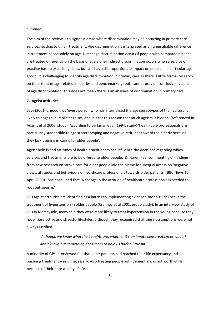#### *Summary*

The aim of the review is to signpost areas where discrimination may be occurring in primary care services leading to unfair treatment. Age discrimination is interpreted as an unjustifiable difference in treatment based solely on age. Direct age discrimination occurs if people with comparable needs are treated differently on the basis of age alone; indirect discrimination occurs when a service or practice has no explicit age bias, but still has a disproportionate impact on people in a particular age group. It is challenging to identify age discrimination in primary care as there is little formal research on the extent of age‐related inequities and benchmarking tools cannot provide conclusive evidence of age discrimination. This does not mean there is an absence of discrimination in primary care.

# **2. Ageist attitudes**

Levy (2001) argued that 'every person who has internalised the age stereotypes of their culture is likely to engage in implicit ageism, and it is for this reason that much ageism is hidden' (referenced in Adams et al 2006, study). According to Berkman et al (1994, study) 'health care professionals are particularly susceptible to ageist stereotyping and negative attitudes toward the elderly because they lack training in caring for older people'.

Ageist beliefs and attitudes of health practitioners can influence the decisions regarding which services and treatments are to be offered to older people. Dr Karen Kee, commenting on findings from new research on stroke care for older people laid the blame for unequal access on 'negative views, attitudes and behaviours of healthcare professionals towards older patients' (BBC News 16 April 2009). She concluded that 'A change in the attitude of healthcare professionals is needed to root out ageism.'

GPs ageist attitudes are identified as a barrier to implementing evidence‐based guidelines in the treatment of hypertension in older people (Cranney et al 2001, group study). In an interview study of GPs in Merseyside, many said they were more likely to treat hypertension in the young because they have more active and stressful lifestyles, although they recognised that these assumptions were not always justified.

*'Although we know what the benefits are, whether it's an innate conservatism or what, I don't know, but something does seem to hold us back a little bit.'*

A minority of GPs interviewed felt that older patients had reached their life expectancy and so pursuing treatment was unnecessary. Also treating people with dementia was not worthwhile because of their poor quality of life.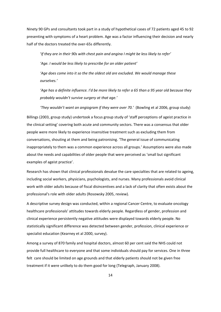Ninety 90 GPs and consultants took part in a study of hypothetical cases of 72 patients aged 45 to 92 presenting with symptoms of a heart problem. Age was a factor influencing their decision and nearly half of the doctors treated the over‐65s differently.

'*If they are in their 90s with chest pain and angina I might be less likely to refer' 'Age. I would be less likely to prescribe for an older patient'*

*'Age does come into it so the the oldest old are excluded. We would manage these ourselves.'*

'Age has a definite influence. I'd be more likely to refer a 65 than a 95 year old because they *probably wouldn't survive surgery at that age.'*

*'They wouldn't want an angiogram if they were over 70.'* (Bowling et al 2006, group study)

Billings (2003, group study) undertook a focus group study of 'staff perceptions of ageist practice in the clinical setting' covering both acute and community sectors. There was a consensus that older people were more likely to experience insensitive treatment such as excluding them from conversations, shouting at them and being patronising. 'The general issue of communicating inappropriately to them was a common experience across all groups.' Assumptions were also made about the needs and capabilities of older people that were perceived as 'small but significant examples of ageist practice'.

Research has shown that clinical professionals devalue the care specialties that are related to ageing, including social workers, physicians, psychologists, and nurses. Many professionals avoid clinical work with older adults because of fiscal disincentives and a lack of clarity that often exists about the professional's role with older adults (Rosowsky 2005, review).

A descriptive survey design was conducted, within a regional Cancer Centre, to evaluate oncology healthcare professionals' attitudes towards elderly people. Regardless of gender, profession and clinical experience persistently negative attitudes were displayed towards elderly people. No statistically significant difference was detected between gender, profession, clinical experience or specialist education (Kearney et al 2000, survey).

Among a survey of 870 family and hospital doctors, almost 60 per cent said the NHS could not provide full healthcare to everyone and that some individuals should pay for services. One in three felt care should be limited on age grounds and that elderly patients should not be given free treatment if it were unlikely to do them good for long (Telegraph, January 2008).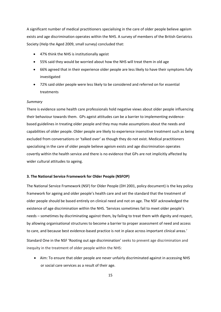A significant number of medical practitioners specialising in the care of older people believe ageism exists and age discrimination operates within the NHS. A survey of members of the British Geriatrics Society (Help the Aged 2009, small survey) concluded that:

- 47% think the NHS is institutionally ageist
- 55% said they would be worried about how the NHS will treat them in old age
- 66% agreed that in their experience older people are less likely to have their symptoms fully investigated
- 72% said older people were less likely to be considered and referred on for essential treatments

#### *Summary*

There is evidence some health care professionals hold negative views about older people influencing their behaviour towards them. GPs ageist attitudes can be a barrier to implementing evidence‐ based guidelines in treating older people and they may make assumptions about the needs and capabilities of older people. Older people are likely to experience insensitive treatment such as being excluded from conversations or 'talked over' as though they do not exist. Medical practitioners specialising in the care of older people believe ageism exists and age discrimination operates covertly within the health service and there is no evidence that GPs are not implicitly affected by wider cultural attitudes to ageing.

# **3. The National Service Framework for Older People (NSFOP)**

The National Service Framework (NSF) for Older People (DH 2001, policy document) is the key policy framework for ageing and older people's health care and set the standard that the treatment of older people should be based entirely on clinical need and not on age. The NSF acknowledged the existence of age discrimination within the NHS. 'Services sometimes fail to meet older people's needs – sometimes by discriminating against them, by failing to treat them with dignity and respect, by allowing organisational structures to become a barrier to proper assessment of need and access to care, and because best evidence-based practice is not in place across important clinical areas.'

Standard One in the NSF 'Rooting out age discrimination' seeks to prevent age discrimination and inequity in the treatment of older people within the NHS:

• Aim: To ensure that older people are never unfairly discriminated against in accessing NHS or social care services as a result of their age.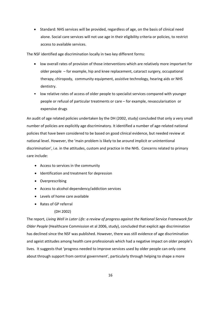• Standard: NHS services will be provided, regardless of age, on the basis of clinical need alone. Social care services will not use age in their eligibility criteria or policies, to restrict access to available services.

The NSF identified age discrimination locally in two key different forms:

- low overall rates of provision of those interventions which are relatively more important for older people – for example, hip and knee replacement, cataract surgery, occupational therapy, chiropody, community equipment, assistive technology, hearing aids or NHS dentistry.
- low relative rates of access of older people to specialist services compared with younger people or refusal of particular treatments or care – for example, revascularisation or expensive drugs

An audit of age related policies undertaken by the DH (2002, study) concluded that only a very small number of policies are explicitly age discriminatory. It identified a number of age-related national policies that have been considered to be based on good clinical evidence, but needed review at national level. However, the 'main problem is likely to be around implicit or unintentional discrimination', i.e. in the attitudes, custom and practice in the NHS. Concerns related to primary care include:

- Access to services in the community
- Identification and treatment for depression
- Overprescribing
- Access to alcohol dependency/addiction services
- Levels of home care available
- Rates of GP referral

# (DH 2002)

The report*, Living Well in Later Life: a review of progress against the National Service Framework for Older People* (Healthcare Commission et al 2006, study), concluded that explicit age discrimination has declined since the NSF was published. However, there was still evidence of age discrimination and ageist attitudes among health care professionals which had a negative impact on older people's lives. It suggests that 'progress needed to improve services used by older people can only come about through support from central government', particularly through helping to shape a more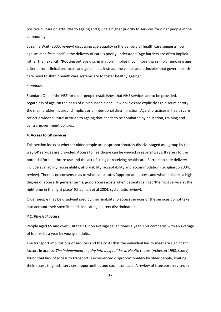positive culture on attitudes to ageing and giving a higher priority to services for older people in the community.

Suzanne Wait (2005, review) discussing age equality in the delivery of health care suggests how ageism manifests itself in the delivery of care is poorly understood 'Age barriers are often implicit rather than explicit. "Rooting out age discrimination" implies much more than simply removing age criteria from clinical protocols and guidelines. Instead, the values and principles that govern health care need to shift if health care systems are to foster healthy ageing.'

#### *Summary*

Standard One of the NSF for older people establishes that NHS services are to be provided, regardless of age, on the basis of clinical need alone. Few policies are explicitly age discriminatory – the main problem is around implicit or unintentional discrimination. Ageist practices in health care reflect a wider cultural attitude to ageing that needs to be combated by education, training and central government policies.

#### **4. Access to GP services**

This section looks at whether older people are disproportionately disadvantaged as a group by the way GP services are provided. Access to healthcare can be viewed in several ways. It refers to the potential for healthcare use and the act of using or receiving healthcare. Barriers to care delivery include availability, accessibility, affordability, acceptability and accommodation (Guagliardo 2004, review). There is no consensus as to what constitutes 'appropriate' access and what indicates a high degree of access. In general terms, good access exists when patients can get 'the right service at the right time in the right place' (Chapman et al 2004, systematic review).

Older people may be disadvantaged by their inability to access services or the services do not take into account their specific needs indicating indirect discrimination.

# *4.1. Physical access*

People aged 65 and over visit their GP on average seven times a year. This compares with an average of four visits a year by younger adults.

The transport implications of services and the costs that the individual has to meet are significant factors in access. *The Independent Inquiry into Inequalities in Health* report (Acheson 1998, study) found that lack of access to transport is experienced disproportionately by older people, limiting their access to goods, services, opportunities and social contacts. A review of transport services in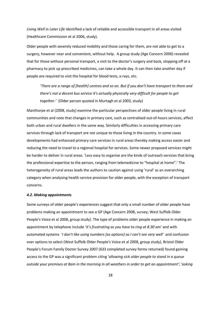*Living Well in Later Life* identified a lack of reliable and accessible transport in all areas visited (Healthcare Commission et al 2006, study).

Older people with severely reduced mobility and those caring for them, are not able to get to a surgery, however near and convenient, without help. A group study (Age Concern 2006) revealed that for those without personal transport, a visit to the doctor's surgery and back, stopping off at a pharmacy to pick up prescribed medicines, can take a whole day. It can then take another day if people are required to visit the hospital for blood tests, x‐rays, etc.

'There are a range of [health] centres and so on. But if you don't have transport to them and *there's not a decent bus service it's actually physically very difficult for people to get together.'* (Older person quoted in Murtagh et al 2003, study)

Manthorpe et al (2008, study) examine the particular perspectives of older people living in rural communities and note that changes in primary care, such as centralised out‐of‐hours services, affect both urban and rural dwellers in the same way. Similarly difficulties in accessing primary care services through lack of transport are not unique to those living in the country. In some cases developments had enhanced primary care services in rural areas thereby making access easier and reducing the need to travel to a regional hospital for services. Some newer proposed services might be harder to deliver in rural areas. 'Less easy to organise are the kinds of outreach services that bring the professional expertise to the person, ranging from telemedicine to "hospital at home".' The heterogeneity of rural areas leads the authors to caution against using 'rural' as an overarching category when analysing health service provision for older people, with the exception of transport concerns.

# *4.2. Making appointments*

Some surveys of older people's experiences suggest that only a small number of older people have problems making an appointment to see a GP (Age Concern 2008, survey; West Suffolk Older People's Voice et al 2008, group study). The type of problems older people experience in making an appointment by telephone include '*it's frustrating as you have to ring at 8.30 am*' and with automated systems '*I don't like using numbers [as options] as I can't see very well'* and confusion over options to select (West Suffolk Older People's Voice et al 2008, group study). Bristol Older People's Forum Family Doctor Survey 2007 (633 completed survey forms returned) found gaining access to the GP was a significant problem citing '*allowing sick older people to stand in a queue* outside your premises at 8am in the morning in all weathers in order to get an appointment'; 'asking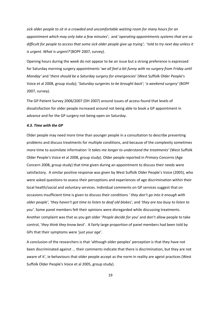*sick older people to sit in a crowded and uncomfortable waiting room for many hours for an appointment which may only take a few minutes*'; and '*operating appointments systems that are so* difficult for people to access that some sick older people give up trying'; 'told to try next day unless it *is urgent. What is urgent?*'(BOPF 2007, survey).

Opening hours during the week do not appear to be an issue but a strong preference is expressed for Saturday morning surgery appointments '*we all feel a bit funny with no surgery from Friday until Monday'* and '*there should be a Saturday surgery for emergencies*' (West Suffolk Older People's Voice et al 2008, group study); '*Saturday surgeries to be brought back'*; '*a weekend surgery'* (BOPF 2007, survey).

The GP Patient Survey 2006/2007 (DH 2007) around issues of access found that levels of dissatisfaction for older people increased around not being able to book a GP appointment in advance and for the GP surgery not being open on Saturday.

# *4.3. Time with the GP*

Older people may need more time than younger people in a consultation to describe presenting problems and discuss treatments for multiple conditions, and because of the complexity sometimes more time to assimilate information '*it takes me longer to understand the treatments'* (West Suffolk Older People's Voice et al 2008, group study). Older people reported in *Primary Concerns* (Age Concern 2008, group study) that time given during an appointment to discuss their needs were satisfactory. A similar positive response was given by West Suffolk Older People's Voice (2005), who were asked questions to assess their perceptions and experiences of age discrimination within their local health/social and voluntary services. Individual comments on GP services suggest that on occasions insufficient time is given to discuss their conditions *' they don't go into it enough with* older people', 'they haven't got time to listen to deaf old blokes', and 'they are too busy to listen to *you'*. Some panel members felt their opinions were disregarded while discussing treatments. Another complaint was that as you get older '*People decide for you*' and don't allow people to take control, '*they think they know best*'. A fairly large proportion of panel members had been told by GPs that their symptoms were '*just your age*'.

A conclusion of the researchers is that 'although older peoples' perception is that they have not been discriminated against ... their comments indicate that there is discrimination, but they are not aware of it', ie behaviours that older people accept as the norm in reality are ageist practices (West Suffolk Older People's Voice et al 2005, group study).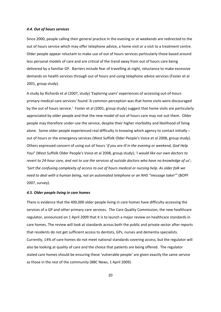#### *4.4. Out of hours services*

Since 2000, people calling their general practice in the evening or at weekends are redirected to the out of hours service which may offer telephone advice, a home visit or a visit to a treatment centre. Older people appear reluctant to make use of out of hours services particularly those based around less personal models of care and are critical of the trend away from out of hours care being delivered by a familiar GP. Barriers include fear of travelling at night, reluctance to make excessive demands on health services through out of hours and using telephone advice services (Foster et al 2001, group study).

A study by Richards et al (2007, study) 'Exploring users' experiences of accessing out‐of‐hours primary medical care services' found 'A common perception was that home visits were discouraged by the out of hours service.' Foster et al (2001, group study) suggest that home visits are particularly appreciated by older people and that the new model of out of hours care may not suit them. Older people may therefore under‐use the service, despite their higher morbidity and likelihood of living alone. Some older people experienced real difficulty in knowing which agency to contact initially – out of hours or the emergency services (West Suffolk Older People's Voice et al 2008, group study). Others expressed concern of using out of hours '*if you are ill in the evening or weekend, God Help You!*' (West Suffolk Older People's Voice et al 2008, group study); '*I would like our own doctors to* revert to 24-hour care, and not to use the services of outside doctors who have no knowledge of us'; '*Sort the confusing complexity of access to out of hours medical or nursing help. As older folk we need to deal with a human being, not an automated telephone or an NHS "message taker"*' (BOPF 2007, survey).

# *4.5. Older people living in care homes*

There is evidence that the 400,000 older people living in care homes have difficulty accessing the services of a GP and other primary care services. The Care Quality Commission, the new healthcare regulator, announced on 1 April 2009 that it is to launch a major review on healthcare standards in care homes. The review will look at standards across both the public and private sector after reports that residents do not get sufficient access to dentists, GPs, nurses and dementia specialists. Currently, 14% of care homes do not meet national standards covering access, but the regulator will also be looking at quality of care and the choice that patients are being offered. The regulator stated care homes should be ensuring these 'vulnerable people' are given exactly the same service as those in the rest of the community (BBC News, 1 April 2009).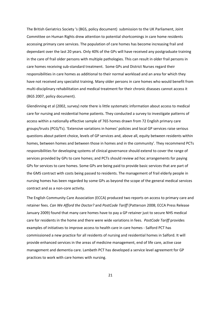The British Geriatrics Society 's (BGS, policy document) submission to the UK Parliament, Joint Committee on Human Rights drew attention to potential shortcomings in care home residents accessing primary care services. The population of care homes has become increasing frail and dependant over the last 20 years. Only 40% of the GPs will have received any postgraduate training in the care of frail older persons with multiple pathologies. This can result in older frail persons in care homes receiving sub‐standard treatment. Some GPs and District Nurses regard their responsibilities in care homes as additional to their normal workload and an area for which they have not received any specialist training. Many older persons in care homes who would benefit from multi‐disciplinary rehabilitation and medical treatment for their chronic diseases cannot access it (BGS 2007, policy document).

Glendinning et al (2002, survey) note there is little systematic information about access to medical care for nursing and residential home patients. They conducted a survey to investigate patterns of access within a nationally effective sample of 765 homes drawn from 72 English primary care groups/trusts (PCG/Ts). 'Extensive variations in homes' policies and local GP services raise serious questions about patient choice, levels of GP services and, above all, equity between residents within homes, between homes and between those in homes and in the community'. They recommend PCTs responsibilities for developing systems of clinical governance should extend to cover the range of services provided by GPs to care homes; and PCTs should review ad hoc arrangements for paying GPs for services to care homes. Some GPs are being paid to provide basic services that are part of the GMS contract with costs being passed to residents. The management of frail elderly people in nursing homes has been regarded by some GPs as beyond the scope of the general medical services contract and as a non‐core activity.

The English Community Care Association (ECCA) produced two reports on access to primary care and retainer fees. *Can We Afford the Doctor?* and *PostCode Tariff* (Patterson 2008; ECCA Press Release January 2009) found that many care homes have to pay a GP retainer just to secure NHS medical care for residents in the home and there were wide variations in fees. *PostCode Tariff* provides examples of initiatives to improve access to health care in care homes ‐ Salford PCT has commissioned a new practice for all residents of nursing and residential homes in Salford. It will provide enhanced services in the areas of medicine management, end of life care, active case management and dementia care. Lambeth PCT has developed a service level agreement for GP practices to work with care homes with nursing.

21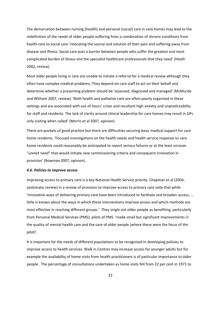The demarcation between nursing (health) and personal (social) care in care homes may lead to the redefinition of the needs of older people suffering from a combination of chronic conditions from health care to social care 'relocating the source and solution of their pain and suffering away from disease and illness. Social care puts a barrier between people who suffer the greatest and most complicated burden of illness and the specialist healthcare professionals that they need' (Heath 2002, review).

Most older people living in care are unable to initiate a referral for a medical review although they often have complex medical problems. They depend on care staff to act on their behalf and determine whether a presenting problem should be 'assessed, diagnosed and managed' (McMurdo and Witham 2007, review). 'Both health and palliative care are often poorly organised in these settings and are associated with out of hours' crises and resultant high anxiety and unpredictability for staff and residents. The lack of clarity around clinical leadership for care homes may result in GPs only visiting when called' (Morris et al 2007, opinion).

There are pockets of good practice but there are difficulties securing basic medical support for care home residents. 'Focused investigations on the health needs and health service response to care home residents could reasonably be anticipated to report serious failures or at the least uncover "unmet need" that would initiate new commissioning criteria and consequent innovation in provision' (Bowman 2007, opinion).

#### *4.6. Policies to improve access*

Improving access to primary care is a key National Health Service priority. Chapman et al (2004, systematic review) in a review of provision to improve access to primary care note that while 'Innovative ways of delivering primary care have been introduced to facilitate and broaden access, ... little is known about the ways in which these interventions improve access and which methods are most effective in reaching different groups.' They single out older people as benefiting particularly from Personal Medical Services (PMS); pilots of PMS 'made small but significant improvements in the quality of mental health care and the care of older people (where these were the focus of the pilot)'.

It is important for the needs of different populations to be recognised in developing policies to improve access to health services. Walk in Centres may increase access for younger adults but for example the availability of home visits from health practitioners is of particular importance to older people. The percentage of consultations undertaken as home visits fell from 22 per cent in 1971 to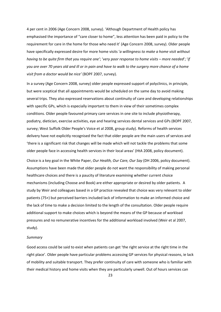4 per cent in 2006 (Age Concern 2008, survey). 'Although Department of Health policy has emphasised the importance of "care closer to home", less attention has been paid in policy to the requirement for care in the home for those who need it' (Age Concern 2008, survey). Older people have specifically expressed desire for more home visits '*a willingness to make a home visit without* having to be quite firm that you require one'; 'very poor response to home visits - more needed'; 'if you are over 70 years old and ill or in pain and have to walk to the surgery more chance of a home *visit from a doctor would be nice'* (BOPF 2007, survey).

In a survey (Age Concern 2008, survey) older people expressed support of polyclinics, in principle, but were sceptical that all appointments would be scheduled on the same day to avoid making several trips. They also expressed reservations about continuity of care and developing relationships with specific GPs, which is especially important to them in view of their sometimes complex conditions. Older people favoured primary care services in one site to include physiotherapy, podiatry, dietician, exercise activities, eye and hearing services dental services and GPs (BOPF 2007, survey; West Suffolk Older People's Voice et al 2008, group study). Reforms of health services delivery have not explicitly recognised the fact that older people are the main users of services and 'there is a significant risk that changes will be made which will not tackle the problems that some older people face in accessing health services in their local areas' (HtA 2008, policy document).

Choice is a key goal in the White Paper, *Our Health, Our Care, Our Say* (DH 2006, policy document). Assumptions have been made that older people do not want the responsibility of making personal healthcare choices and there is a paucity of literature examining whether current choice mechanisms (including Choose and Book) are either appropriate or desired by older patients. A study by Weir and colleagues based in a GP practice revealed that choice was very relevant to older patients (75+) but perceived barriers included lack of information to make an informed choice and the lack of time to make a decision limited to the length of the consultation. Older people require additional support to make choices which is beyond the means of the GP because of workload pressures and no remunerative incentives for the additional workload involved (Weir et al 2007, study).

#### *Summary*

Good access could be said to exist when patients can get 'the right service at the right time in the right place'. Older people have particular problems accessing GP services for physical reasons, ie lack of mobility and suitable transport. They prefer continuity of care with someone who is familiar with their medical history and home visits when they are particularly unwell. Out of hours services can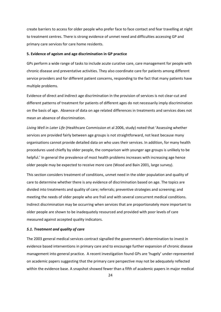create barriers to access for older people who prefer face to face contact and fear travelling at night to treatment centres. There is strong evidence of unmet need and difficulties accessing GP and primary care services for care home residents.

#### **5. Evidence of ageism and age discrimination in GP practice**

GPs perform a wide range of tasks to include acute curative care, care management for people with chronic disease and preventative activities. They also coordinate care for patients among different service providers and for different patient concerns, responding to the fact that many patients have multiple problems.

Evidence of direct and indirect age discrimination in the provision of services is not clear‐cut and different patterns of treatment for patients of different ages do not necessarily imply discrimination on the basis of age. Absence of data on age related differences in treatments and services does not mean an absence of discrimination.

*Living Well in Later Life* (Healthcare Commission et al 2006, study) noted that 'Assessing whether services are provided fairly between age groups is not straightforward, not least because many organisations cannot provide detailed data on who uses their services. In addition, for many health procedures used chiefly by older people, the comparison with younger age groups is unlikely to be helpful.' In general the prevalence of most health problems increases with increasing age hence older people may be expected to receive more care (Wood and Bain 2001, large survey).

This section considers treatment of conditions, unmet need in the older population and quality of care to determine whether there is any evidence of discrimination based on age. The topics are divided into treatments and quality of care; referrals; preventive strategies and screening; and meeting the needs of older people who are frail and with several concurrent medical conditions. Indirect discrimination may be occurring when services that are proportionately more important to older people are shown to be inadequately resourced and provided with poor levels of care measured against accepted quality indicators.

# *5.1. Treatment and quality of care*

The 2003 general medical services contract signalled the government's determination to invest in evidence based interventions in primary care and to encourage further expansion of chronic disease management into general practice. A recent investigation found GPs are 'hugely' under‐represented on academic papers suggesting that the primary care perspective may not be adequately reflected within the evidence base. A snapshot showed fewer than a fifth of academic papers in major medical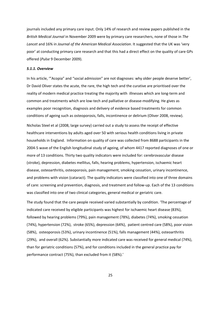journals included any primary care input. Only 14% of research and review papers published in the *British Medical Journal* in November 2009 were by primary care researchers, none of those in *The Lancet* and 16% in *Journal of the American Medical Association*. It suggested that the UK was 'very poor' at conducting primary care research and that this had a direct effect on the quality of care GPs offered (*Pulse* 9 December 2009).

# *5.1.1. Overview*

In his article, '"Acopia" and "social admission" are not diagnoses: why older people deserve better', Dr David Oliver states the acute, the rare, the high tech and the curative are prioritised over the reality of modern medical practice treating the majority with illnesses which are long‐term and common and treatments which are low-tech and palliative or disease-modifying. He gives as examples poor recognition, diagnosis and delivery of evidence based treatments for common conditions of ageing such as osteoporosis, falls, incontinence or delirium (Oliver 2008, review).

Nicholas Steel et al (2008, large survey) carried out a study to assess the receipt of effective healthcare interventions by adults aged over 50 with serious health conditions living in private households in England. Information on quality of care was collected from 8688 participants in the 2004‐5 wave of the English longitudinal study of ageing, of whom 4417 reported diagnoses of one or more of 13 conditions. Thirty two quality indicators were included for: cerebrovascular disease (stroke), depression, diabetes mellitus, falls, hearing problems, hypertension, ischaemic heart disease, osteoarthritis, osteoporosis, pain management, smoking cessation, urinary incontinence, and problems with vision (cataract). The quality indicators were classified into one of three domains of care: screening and prevention, diagnosis, and treatment and follow‐up. Each of the 13 conditions was classified into one of two clinical categories, general medical or geriatric care.

The study found that the care people received varied substantially by condition. 'The percentage of indicated care received by eligible participants was highest for ischaemic heart disease (83%), followed by hearing problems (79%), pain management (78%), diabetes (74%), smoking cessation (74%), hypertension (72%), stroke (65%), depression (64%), patient centred care (58%), poor vision (58%), osteoporosis (53%), urinary incontinence (51%), falls management (44%), osteoarthritis (29%), and overall (62%). Substantially more indicated care was received for general medical (74%), than for geriatric conditions (57%), and for conditions included in the general practice pay for performance contract (75%), than excluded from it (58%).'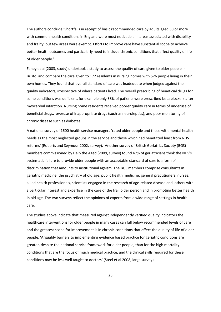The authors conclude 'Shortfalls in receipt of basic recommended care by adults aged 50 or more with common health conditions in England were most noticeable in areas associated with disability and frailty, but few areas were exempt. Efforts to improve care have substantial scope to achieve better health outcomes and particularly need to include chronic conditions that affect quality of life of older people.'

Fahey et al (2003, study) undertook a study to assess the quality of care given to older people in Bristol and compare the care given to 172 residents in nursing homes with 526 people living in their own homes. They found that overall standard of care was inadequate when judged against the quality indicators, irrespective of where patients lived. The overall prescribing of beneficial drugs for some conditions was deficient, for example only 38% of patients were prescribed beta blockers after myocardial infarction. Nursing home residents received poorer quality care in terms of underuse of beneficial drugs, overuse of inappropriate drugs (such as neuroleptics), and poor monitoring of chronic disease such as diabetes.

A national survey of 1600 health service managers 'rated older people and those with mental health needs as the most neglected groups in the service and those which had benefitted least from NHS reforms' (Roberts and Seymour 2002, survey). Another survey of British Geriatrics Society (BGS) members commissioned by Help the Aged (2009, survey) found 47% of geriatricians think the NHS's systematic failure to provide older people with an acceptable standard of care is a form of discrimination that amounts to institutional ageism. The BGS members comprise consultants in geriatric medicine, the psychiatry of old age, public health medicine, general practitioners, nurses, allied health professionals, scientists engaged in the research of age‐related disease and others with a particular interest and expertise in the care of the frail older person and in promoting better health in old age. The two surveys reflect the opinions of experts from a wide range of settings in health care.

The studies above indicate that measured against independently verified quality indicators the healthcare interventions for older people in many cases can fall below recommended levels of care and the greatest scope for improvement is in chronic conditions that affect the quality of life of older people. 'Arguably barriers to implementing evidence based practice for geriatric conditions are greater, despite the national service framework for older people, than for the high mortality conditions that are the focus of much medical practice, and the clinical skills required for these conditions may be less well taught to doctors' (Steel et al 2008, large survey).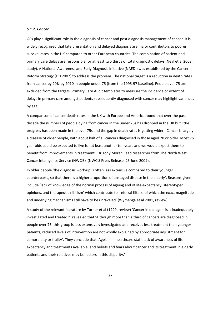#### *5.1.2. Cancer*

GPs play a significant role in the diagnosis of cancer and post diagnosis management of cancer. It is widely recognised that late presentation and delayed diagnosis are major contributors to poorer survival rates in the UK compared to other European countries. The combination of patient and primary care delays are responsible for at least two thirds of total diagnostic delays (Neal et al 2008, study). A National Awareness and Early Diagnosis Initiative (NAEDI) was established by the Cancer Reform Strategy (DH 2007) to address the problem. The national target is a reduction in death rates from cancer by 20% by 2010 in people under 75 (from the 1995‐97 baseline). People over 75 are excluded from the targets. Primary Care Audit templates to measure the incidence or extent of delays in primary care amongst patients subsequently diagnosed with cancer may highlight variances by age.

A comparison of cancer death rates in the UK with Europe and America found that over the past decade the numbers of people dying from cancer in the under 75s has dropped in the UK but little progress has been made in the over 75s and the gap in death rates is getting wider. 'Cancer is largely a disease of older people, with about half of all cancers diagnosed in those aged 70 or older. Most 75 year olds could be expected to live for at least another ten years and we would expect them to benefit from improvements in treatment', Dr Tony Moran, lead researcher from The North West Cancer Intelligence Service (NWCIS) (NWCIS Press Release, 25 June 2009).

In older people 'the diagnosis work-up is often less extensive compared to their younger counterparts, so that there is a higher proportion of unstaged disease in the elderly'. Reasons given include 'lack of knowledge of the normal process of ageing and of life‐expectancy, stereotyped opinions, and therapeutic nihilism' which contribute to 'referral filters, of which the exact magnitude and underlying mechanisms still have to be unraveled' (Wymenga et al 2001, review).

A study of the relevant literature by Turner et al (1999, review) 'Cancer in old age – is it inadequately investigated and treated?' revealed that 'Although more than a third of cancers are diagnosed in people over 75, this group is less extensively investigated and receives less treatment than younger patients; reduced levels of intervention are not wholly explained by appropriate adjustment for comorbidity or frailty'. They conclude that 'Ageism in healthcare staff, lack of awareness of life expectancy and treatments available, and beliefs and fears about cancer and its treatment in elderly patients and their relatives may be factors in this disparity.'

27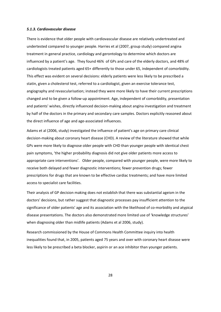# *5.1.3. Cardiovascular disease*

There is evidence that older people with cardiovascular disease are relatively undertreated and undertested compared to younger people. Harries et al (2007, group study) compared angina treatment in general practice, cardiology and gerontology to determine which doctors are influenced by a patient's age. They found 46% of GPs and care of the elderly doctors, and 48% of cardiologists treated patients aged 65+ differently to those under 65, independent of comorbidity. This effect was evident on several decisions: elderly patients were less likely to be prescribed a statin, given a cholesterol test, referred to a cardiologist, given an exercise tolerance test, angiography and revascularisation; instead they were more likely to have their current prescriptions changed and to be given a follow‐up appointment. Age, independent of comorbidity, presentation and patients' wishes, directly influenced decision‐making about angina investigation and treatment by half of the doctors in the primary and secondary care samples. Doctors explicitly reasoned about the direct influence of age and age‐associated influences.

Adams et al (2006, study) investigated the influence of patient's age on primary care clinical decision‐making about coronary heart disease (CHD). A review of the literature showed that while GPs were more likely to diagnose older people with CHD than younger people with identical chest pain symptoms, 'the higher probability diagnosis did not give older patients more access to appropriate care interventions'. Older people, compared with younger people, were more likely to receive both delayed and fewer diagnostic interventions; fewer prevention drugs; fewer prescriptions for drugs that are known to be effective cardiac treatments; and have more limited access to specialist care facilities.

Their analysis of GP decision making does not establish that there was substantial ageism in the doctors' decisions, but rather suggest that diagnostic processes pay insufficient attention to the significance of older patients' age and its association with the likelihood of co-morbidity and atypical disease presentations. The doctors also demonstrated more limited use of 'knowledge structures' when diagnosing older than midlife patients (Adams et al 2006, study).

Research commissioned by the House of Commons Health Committee inquiry into health inequalities found that, in 2005, patients aged 75 years and over with coronary heart disease were less likely to be prescribed a beta blocker, aspirin or an ace inhibitor than younger patients.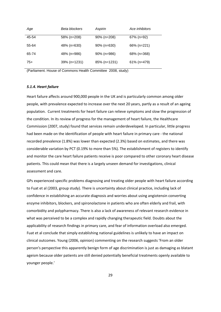| Age   | Beta blockers | Aspirin        | Ace inhibitors |
|-------|---------------|----------------|----------------|
| 45-54 | 58% (n=208)   | $90\%$ (n=208) | 67% (n=92)     |
| 55-64 | 48% (n=630)   | $90\%$ (n=630) | 66% (n=221)    |
| 65-74 | 48% (n=986)   | $90\%$ (n=986) | 68% (n=368)    |
| $75+$ | 39% (n=1231)  | 85% (n=1231)   | 61% (n=479)    |

(Parliament. House of Commons Health Committee 2008, study)

# *5.1.4. Heart failure*

Heart failure affects around 900,000 people in the UK and is particularly common among older people, with prevalence expected to increase over the next 20 years, partly as a result of an ageing population. Current treatments for heart failure can relieve symptoms and slow the progression of the condition. In its review of progress for the management of heart failure, the Healthcare Commission (2007, study) found that services remain underdeveloped. In particular, little progress had been made on the identification of people with heart failure in primary care - the national recorded prevalence (1.8%) was lower than expected (2.3%) based on estimates, and there was considerable variation by PCT (0.19% to more than 5%). The establishment of registers to identify and monitor the care heart failure patients receive is poor compared to other coronary heart disease patients. This could mean that there is a largely unseen demand for investigations, clinical assessment and care.

GPs experienced specific problems diagnosing and treating older people with heart failure according to Fuat et al (2003, group study). There is uncertainty about clinical practice, including lack of confidence in establishing an accurate diagnosis and worries about using angiotensin converting enzyme inhibitors, blockers, and spironolactone in patients who are often elderly and frail, with comorbidity and polypharmacy. There is also a lack of awareness of relevant research evidence in what was perceived to be a complex and rapidly changing therapeutic field. Doubts about the applicability of research findings in primary care, and fear of information overload also emerged. Fuat et al conclude that simply establishing national guidelines is unlikely to have an impact on clinical outcomes. Young (2006, opinion) commenting on the research suggests 'From an older person's perspective this apparently benign form of age discrimination is just as damaging as blatant ageism because older patients are still denied potentially beneficial treatments openly available to younger people.'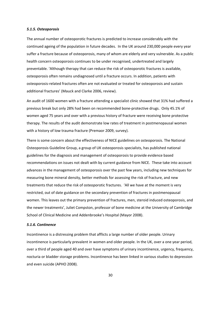#### *5.1.5. Osteoporosis*

The annual number of osteoporotic fractures is predicted to increase considerably with the continued ageing of the population in future decades. In the UK around 230,000 people every year suffer a fracture because of osteoporosis, many of whom are elderly and very vulnerable. As a public health concern osteoporosis continues to be under recognised, undertreated and largely preventable. 'Although therapy that can reduce the risk of osteoporotic fractures is available, osteoporosis often remains undiagnosed until a fracture occurs. In addition, patients with osteoporosis‐related fractures often are not evaluated or treated for osteoporosis and sustain additional fractures' (Mauck and Clarke 2006, review).

An audit of 1600 women with a fracture attending a specialist clinic showed that 31% had suffered a previous break but only 28% had been on recommended bone‐protective drugs. Only 45.1% of women aged 75 years and over with a previous history of fracture were receiving bone protective therapy. The results of the audit demonstrate low rates of treatment in postmenopausal women with a history of low trauma fracture (Premaor 2009, survey).

There is some concern about the effectiveness of NICE guidelines on osteoporosis. The National Osteoporosis Guideline Group, a group of UK osteoporosis specialists, has published national guidelines for the diagnosis and management of osteoporosis to provide evidence based recommendations on issues not dealt with by current guidance from NICE. These take into account advances in the management of osteoporosis over the past few years, including new techniques for measuring bone mineral density, better methods for assessing the risk of fracture, and new treatments that reduce the risk of osteoporotic fractures. 'All we have at the moment is very restricted, out of date guidance on the secondary prevention of fractures in postmenopausal women. This leaves out the primary prevention of fractures, men, steroid induced osteoporosis, and the newer treatments', Juliet Compston, professor of bone medicine at the University of Cambridge School of Clinical Medicine and Addenbrooke's Hospital (Mayor 2008).

# *5.1.6. Continence*

Incontinence is a distressing problem that afflicts a large number of older people. Urinary incontinence is particularly prevalent in women and older people. In the UK, over a one year period, over a third of people aged 40 and over have symptoms of urinary incontinence, urgency, frequency, nocturia or bladder storage problems. Incontinence has been linked in various studies to depression and even suicide (APHO 2008).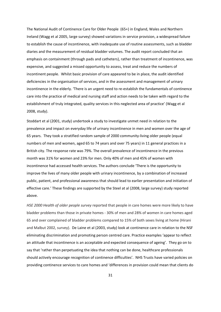The National Audit of Continence Care for Older People (65+) in England, Wales and Northern Ireland (Wagg et al 2005, large survey) showed variations in service provision, a widespread failure to establish the cause of incontinence, with inadequate use of routine assessments, such as bladder diaries and the measurement of residual bladder volumes. The audit report concluded that an emphasis on containment (through pads and catheters), rather than treatment of incontinence, was expensive, and suggested a missed opportunity to assess, treat and reduce the numbers of incontinent people. Whilst basic provision of care appeared to be in place, the audit identified deficiencies in the organisation of services, and in the assessment and management of urinary incontinence in the elderly. 'There is an urgent need to re‐establish the fundamentals of continence care into the practice of medical and nursing staff and action needs to be taken with regard to the establishment of truly integrated, quality services in this neglected area of practice' (Wagg et al 2008, study).

Stoddart et al (2001, study) undertook a study to investigate unmet need in relation to the prevalence and impact on everyday life of urinary incontinence in men and women over the age of 65 years. They took a stratified random sample of 2000 community‐living older people (equal numbers of men and women, aged 65 to 74 years and over 75 years) in 11 general practices in a British city. The response rate was 79%. The overall prevalence of incontinence in the previous month was 31% for women and 23% for men. Only 40% of men and 45% of women with incontinence had accessed health services. The authors conclude 'There is the opportunity to improve the lives of many older people with urinary incontinence, by a combination of increased public, patient, and professional awareness that should lead to earlier presentation and initiation of effective care.' These findings are supported by the Steel at al (2008, large survey) study reported above.

*HSE 2000 Health of older people survey* reported that people in care homes were more likely to have bladder problems than those in private homes ‐ 30% of men and 28% of women in care homes aged 65 and over complained of bladder problems compared to 15% of both sexes living at home (Hirani and Malbut 2002, survey). De Laine et al (2003, study) look at continence care in relation to the NSF eliminating discrimination and promoting person centred care. Practice examples 'appear to reflect an attitude that incontinence is an acceptable and expected consequence of ageing'. They go on to say that 'rather than perpetuating the idea that nothing can be done, healthcare professionals should actively encourage recognition of continence difficulties'. NHS Trusts have varied policies on providing continence services to care homes and 'differences in provision could mean that clients do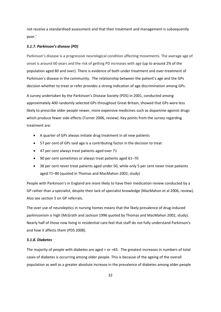not receive a standardised assessment and that their treatment and management is subsequently poor.'

# *5.1.7. Parkinson's disease (PD)*

Parkinson's disease is a progressive neurological condition affecting movements. The average age of onset is around 60 years and the risk of getting PD increases with age (up to around 2% of the population aged 80 and over). There is evidence of both under treatment and over-treatment of Parkinson's disease in the community. The relationship between the patient's age and the GPs decision whether to treat or refer provides a strong indication of age discrimination among GPs.

A survey undertaken by the Parkinson's Disease Society (PDS) in 2001, conducted among approximately 400 randomly selected GPs throughout Great Britain, showed that GPs were less likely to prescribe older people newer, more expensive medicines such as dopamine‐agonist drugs which produce fewer side effects (Turner 2006, review). Key points from the survey regarding treatment are:

- A quarter of GPs always initiate drug treatment in all new patients
- 57 per cent of GPs said age is a contributing factor in the decision to treat
- 47 per cent always treat patients aged over 71
- 90 per cent sometimes or always treat patients aged 61–70
- 38 per cent never treat patients aged under 50, while only 5 per cent never treat patients aged 71–80 (quoted in Thomas and MacMahon 2002, study)

People with Parkinson's in England are more likely to have their medication review conducted by a GP rather than a specialist, despite their lack of specialist knowledge (MacMahon et al 2006, review). Also see section 5 on GP referrals.

The over use of neuroleptics in nursing homes means that the likely prevalence of drug-induced parkinsonism is high (McGrath and Jackson 1996 quoted by Thomas and MacMahon 2002, study). Nearly half of those now living in residential care feel that staff do not fully understand Parkinson's and how it affects them (PDS 2008).

# *5.1.8. Diabetes*

The majority of people with diabetes are aged > or =65. The greatest increases in numbers of total cases of diabetes is occurring among older people. This is because of the ageing of the overall population as well as a greater absolute increase in the prevalence of diabetes among older people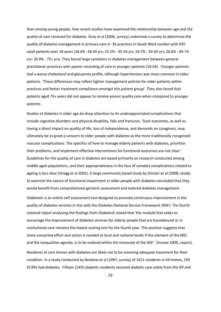than among young people. Few recent studies have examined the relationship between age and the quality of care received for diabetes. Gray et al (2006, survey) undertook a survey to determine the quality of diabetes management in primary care in 36 practices in South West London with 635 adult patients over 18 years (16.6% ‐18‐44 yrs; 15.2% ‐ 45‐54 yrs; 24.7% ‐ 55‐64 yrs; 26.6% ‐ 65‐74 yrs; 16.9% ‐ 75+ yrs). They found large variations in diabetes management between general practitioner practices with poorer recording of care in younger patients (18‐44). Younger patients had a worse cholesterol and glycaemia profile, although hypertension was more common in older patients. 'These differences may reflect tighter management policies for older patients within practices and better treatment compliance amongst this patient group'. They also found that patients aged 75+ years did not appear to receive poorer quality care when compared to younger patients.

Studies of diabetes in older age do draw attention to its underappreciated complications that include cognitive disorders and physical disability, falls and fractures. 'Such outcomes, as well as having a direct impact on quality of life, loss of independence, and demands on caregivers, may ultimately be as great a concern to older people with diabetes as the more traditionally recognised vascular complications. The specifics of how to manage elderly patients with diabetes, prioritise their problems, and implement effective interventions for functional outcomes are not clear.' Guidelines for the quality of care in diabetes are based primarily on research conducted among middle aged populations, and their appropriateness in the face of complex complications related to ageing is less clear (Gregg et al 2002). A large community based study by Sinclair et al (2008, study) to examine the nature of functional impairment in older people with diabetes concluded that they would benefit from comprehensive geriatric assessment and tailored diabetes management.

DiabetesE is an online self assessment tool designed to promote continuous improvement in the quality of diabetes services in line with the Diabetes National Service Framework (NSF). The fourth national report analysing the findings from DiabetesE stated that 'the module that seeks to encourage the improvement of diabetes services for elderly people that are housebound or in institutional care remains the lowest scoring one for the fourth year. This position suggests that more concerted effort and action is needed at local and national levels if this element of the NSF, and the inequalities agenda, is to be realised within the timescale of the NSF.' (Innove 2009, report).

Residents of care homes with diabetes are likely not to be receiving adequate treatment for their condition. In a study conducted by Benbow et al (1997, survey) of 1611 residents in 44 homes, 159 (9.9%) had diabetes. Fifteen (14%) diabetic residents received diabetic care solely from the GP and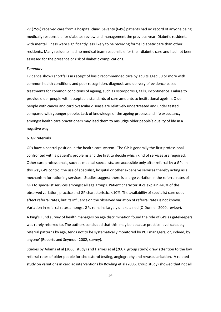27 (25%) received care from a hospital clinic. Seventy (64%) patients had no record of anyone being medically responsible for diabetes review and management the previous year. Diabetic residents with mental illness were significantly less likely to be receiving formal diabetic care than other residents. Many residents had no medical team responsible for their diabetic care and had not been assessed for the presence or risk of diabetic complications.

#### *Summary*

Evidence shows shortfalls in receipt of basic recommended care by adults aged 50 or more with common health conditions and poor recognition, diagnosis and delivery of evidence based treatments for common conditions of ageing, such as osteoporosis, falls, incontinence. Failure to provide older people with acceptable standards of care amounts to institutional ageism. Older people with cancer and cardiovascular disease are relatively undertreated and under tested compared with younger people. Lack of knowledge of the ageing process and life expectancy amongst health care practitioners may lead them to misjudge older people's quality of life in a negative way.

#### **6. GP referrals**

GPs have a central position in the health care system. The GP is generally the first professional confronted with a patient's problems and the first to decide which kind of services are required. Other care professionals, such as medical specialists, are accessible only after referral by a GP. In this way GPs control the use of specialist, hospital or other expensive services thereby acting as a mechanism for rationing services. Studies suggest there is a large variation in the referral rates of GPs to specialist services amongst all age groups. Patient characteristics explain <40% of the observed variation; practice and GP characteristics <10%. The availability of specialist care does affect referral rates, but its influence on the observed variation of referral rates is not known. Variation in referral rates amongst GPs remains largely unexplained (O'Donnell 2000, review).

A King's Fund survey of health managers on age discrimination found the role of GPs as gatekeepers was rarely referred to. The authors concluded that this 'may be because practice-level data, e.g. referral patterns by age, tends not to be systematically monitored by PCT managers, or, indeed, by anyone' (Roberts and Seymour 2002, survey).

Studies by Adams et al (2006, study) and Harries et al (2007, group study) draw attention to the low referral rates of older people for cholesterol testing, angiography and revascularization. A related study on variations in cardiac interventions by Bowling et al (2006, group study) showed that not all

34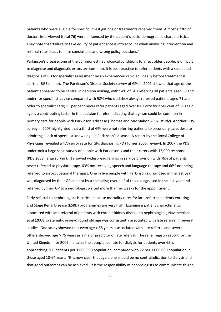patients who were eligible for specific investigations or treatments received them. Almost a fifth of doctors interviewed (total 76) were influenced by the patient's socio-demographic characteristics. They note that 'failure to take equity of patient access into account when analysing intervention and referral rates leads to false conclusions and wrong policy decisions.'

Parkinson's disease, one of the commonest neurological conditions to affect older people, is difficult to diagnose and diagnostic errors are common. It is best practice to refer patients with a suspected diagnosis of PD for specialist assessment by an experienced clinician, ideally before treatment is started (BGS online). The Parkinson's Disease Society survey of GPs in 2001 showed that age of the patient appeared to be central in decision making, with 94% of GPs referring all patients aged 50 and under for specialist advice compared with 58% who said they always referred patients aged 71 and older to specialist care; 11 per cent never refer patients aged over 81. Forty four per cent of GPs said age is a contributing factor in the decision to refer indicating that ageism could be common in primary care for people with Parkinson's disease (Thomas and MacMahon 2002, study). Another PDS survey in 2005 highlighted that a third of GPs were not referring patients to secondary care, despite admitting a lack of specialist knowledge in Parkinson's disease. A report by the Royal College of Physicians revealed a 47% error rate for GPs diagnosing PD (Turner 2006, review). In 2007 the PDS undertook a large scale survey of people with Parkinson's and their carers with 13,000 responses (PDS 2008, large survey). It showed widespread failings in service provision with 46% of patients never referred to physiotherapy, 63% not receiving speech and language therapy and 66% not being referred to an occupational therapist. One in five people with Parkinson's diagnosed in the last year was diagnosed by their GP and not by a specialist; over half of those diagnosed in the last year and referred by their GP to a neurologist waited more than six weeks for the appointment.

Early referral to nephrologists is critical because mortality rates for late-referred patients entering End Stage Renal Disease (ESRD) programmes are very high. Examining patient characteristics associated with late referral of patients with chronic kidney disease to nephrologists, Navaneethan et al (2008, systematic review) found old age was consistently associated with late referral in several studies. One study showed that even age > 55 years is associated with late referral and several others showed age > 75 years as a major predictor of late referral. The renal registry report for the United Kingdom for 2002 indicates the acceptance rate for dialysis for patients over 65 is approaching 300 patients per 1 000 000 population, compared with 72 per 1 000 000 population in those aged 18‐64 years. 'It is now clear that age alone should be no contraindication to dialysis and that good outcomes can be achieved. It is the responsibility of nephrologists to communicate this so

35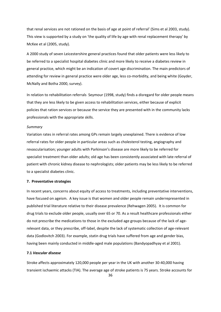that renal services are not rationed on the basis of age at point of referral' (Sims et al 2003, study). This view is supported by a study on 'the quality of life by age with renal replacement therapy' by McKee et al (2005, study).

A 2000 study of seven Leicestershire general practices found that older patients were less likely to be referred to a specialist hospital diabetes clinic and more likely to receive a diabetes review in general practice, which might be an indication of covert age discrimination. The main predictors of attending for review in general practice were older age, less co-morbidity, and being white (Goyder, McNally and Botha 2000, survey).

In relation to rehabilitation referrals Seymour (1998, study) finds a disregard for older people means that they are less likely to be given access to rehabilitation services, either because of explicit policies that ration services or because the service they are presented with in the community lacks professionals with the appropriate skills.

#### *Summary*

Variation rates in referral rates among GPs remain largely unexplained. There is evidence of low referral rates for older people in particular areas such as cholesterol testing, angiography and revascularisation; younger adults with Parkinson's disease are more likely to be referred for specialist treatment than older adults; old age has been consistently associated with late referral of patient with chronic kidney disease to nephrologists; older patients may be less likely to be referred to a specialist diabetes clinic.

#### **7. Preventative strategies**

In recent years, concerns about equity of access to treatments, including preventative interventions, have focused on ageism. A key issue is that women and older people remain underrepresented in published trial literature relative to their disease prevalence (Rehwagen 2005). It is common for drug trials to exclude older people, usually over 65 or 70. As a result healthcare professionals either do not prescribe the medications to those in the excluded age groups because of the lack of age‐ relevant data, or they prescribe, off-label, despite the lack of systematic collection of age-relevant data (Godlovitch 2003). For example, statin drug trials have suffered from age and gender bias, having been mainly conducted in middle-aged male populations (Bandyopadhyay et al 2001).

# **7.1** *Vascular disease*

Stroke affects approximately 120,000 people per year in the UK with another 30‐40,000 having transient ischaemic attacks (TIA). The average age of stroke patients is 75 years. Stroke accounts for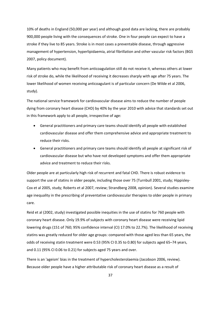10% of deaths in England (50,000 per year) and although good data are lacking, there are probably 900,000 people living with the consequences of stroke. One in four people can expect to have a stroke if they live to 85 years. Stroke is in most cases a preventable disease, through aggressive management of hypertension, hyperlipidaemia, atrial fibrillation and other vascular risk factors (BGS 2007, policy document).

Many patients who may benefit from anticoagulation still do not receive it, whereas others at lower risk of stroke do, while the likelihood of receiving it decreases sharply with age after 75 years. The lower likelihood of women receiving anticoagulant is of particular concern (De Wilde et al 2006, study).

The national service framework for cardiovascular disease aims to reduce the number of people dying from coronary heart disease (CHD) by 40% by the year 2010 with advice that standards set out in this framework apply to all people, irrespective of age:

- General practitioners and primary care teams should identify all people with established cardiovascular disease and offer them comprehensive advice and appropriate treatment to reduce their risks.
- General practitioners and primary care teams should identify all people at significant risk of cardiovascular disease but who have not developed symptoms and offer them appropriate advice and treatment to reduce their risks.

Older people are at particularly high risk of recurrent and fatal CHD. There is robust evidence to support the use of statins in older people, including those over 75 (Turnbull 2001, study; Hippisley-Cox et al 2005, study; Roberts et al 2007, review; Strandberg 2008, opinion). Several studies examine age inequality in the prescribing of preventative cardiovascular therapies to older people in primary care.

Reid et al (2002, study) investigated possible inequities in the use of statins for 760 people with coronary heart disease. Only 19.9% of subjects with coronary heart disease were receiving lipid lowering drugs (151 of 760; 95% confidence interval (CI) 17.0% to 22.7%). The likelihood of receiving statins was greatly reduced for older age groups: compared with those aged less than 65 years, the odds of receiving statin treatment were 0.53 (95% CI 0.35 to 0.80) for subjects aged 65–74 years, and 0.11 (95% CI 0.06 to 0.21) for subjects aged 75 years and over.

There is an 'ageism' bias in the treatment of hypercholesterolaemia (Jacobson 2006, review). Because older people have a higher attributable risk of coronary heart disease as a result of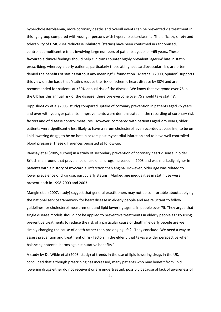hypercholesterolaemia, more coronary deaths and overall events can be prevented via treatment in this age group compared with younger persons with hypercholesterolaemia. The efficacy, safety and tolerability of HMG‐CoA reductase inhibitors (statins) have been confirmed in randomised, controlled, multicentre trials involving large numbers of patients aged > or =65 years. These favourable clinical findings should help clinicians counter highly prevalent 'ageism' bias in statin prescribing, whereby elderly patients, particularly those at highest cardiovascular risk, are often denied the benefits of statins without any meaningful foundation. Marshall (2000, opinion) supports this view on the basis that 'statins reduce the risk of ischemic heart disease by 30% and are recommended for patients at >30% annual risk of the disease. We know that everyone over 75 in the UK has this annual risk of the disease; therefore everyone over 75 should take statins'.

Hippisley‐Cox et al (2005, study) compared uptake of coronary prevention in patients aged 75 years and over with younger patients. Improvements were demonstrated in the recording of coronary risk factors and of disease control measures. However, compared with patients aged <75 years, older patients were significantly less likely to have a serum cholesterol level recorded at baseline; to be on lipid lowering drugs; to be on beta blockers post myocardial infarction and to have well controlled blood pressure. These differences persisted at follow‐up.

Ramsay et al (2005, survey) in a study of secondary prevention of coronary heart disease in older British men found that prevalence of use of all drugs increased in 2003 and was markedly higher in patients with a history of myocardial infarction than angina. However, older age was related to lower prevalence of drug use, particularly statins. Marked age inequalities in statin use were present both in 1998‐2000 and 2003.

Mangin et al (2007, study) suggest that general practitioners may not be comfortable about applying the national service framework for heart disease in elderly people and are reluctant to follow guidelines for cholesterol measurement and lipid lowering agents in people over 75. They argue that single disease models should not be applied to preventive treatments in elderly people as ' By using preventive treatments to reduce the risk of a particular cause of death in elderly people are we simply changing the cause of death rather than prolonging life?' They conclude 'We need a way to assess prevention and treatment of risk factors in the elderly that takes a wider perspective when balancing potential harms against putative benefits.'

A study by De Wilde et al (2003, study) of trends in the use of lipid lowering drugs in the UK, concluded that although prescribing has increased, many patients who may benefit from lipid lowering drugs either do not receive it or are undertreated, possibly because of lack of awareness of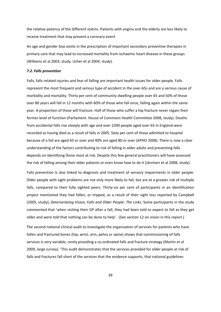the relative potency of the different statins. Patients with angina and the elderly are less likely to receive treatment that may prevent a coronary event

An age and gender bias exists in the prescription of important secondary preventive therapies in primary care that may lead to increased mortality from ischaemic heart disease in these groups (Williams et al 2003, study; Usher et al 2004, study).

## *7.2. Falls prevention*

Falls, falls-related injuries and fear of falling are important health issues for older people. Falls represent the most frequent and serious type of accident in the over‐65s and are a serious cause of morbidity and mortality. Thirty per cent of community dwelling people over 65 and 50% of those over 80 years will fall in 12 months with 60% of those who fall once, falling again within the same year. A proportion of these will fracture. Half of those who suffer a hip fracture never regain their former level of function (Parliament. House of Commons Health Committee 2008, study). Deaths from accidental falls rise steeply with age and over 2200 people aged over 65 in England were recorded as having died as a result of falls in 2005. Sixty per cent of those admitted to hospital because of a fall are aged 65 or over and 40% are aged 80 or over (APHO 2008). There is now a clear understanding of the factors contributing to risk of falling in older adults and preventing falls depends on identifying those most at risk. Despite this few general practitioners will have assessed the risk of falling among their older patients or even know how to do it (Järvinen et al 2008, study).

Falls prevention is also linked to diagnosis and treatment of sensory impairments in older people. Older people with sight problems are not only more likely to fall, but are at a greater risk of multiple falls, compared to their fully sighted peers. Thirty-six per cent of participants in an identification project mentioned they had fallen, or tripped, as a result of their sight loss reported by Campbell (2005, study), *Deterioriating Vision, Falls and Older People: The Links.* Some participants in the study commented that 'when visiting their GP after a fall, they had been told to expect to fall as they get older and were told that nothing can be done to help'. (See section 12 on vision in this report.)

The second national clinical audit to investigate the organisation of services for patients who have fallen and fractured bones (hip, wrist, arm, pelvis or spine) shows that commissioning of falls services is very variable, rarely providing a co-ordinated falls and fracture strategy (Martin et al 2009, large survey). 'This audit demonstrates that the services provided for older people at risk of falls and fractures fall short of the services that the evidence supports, that national guidelines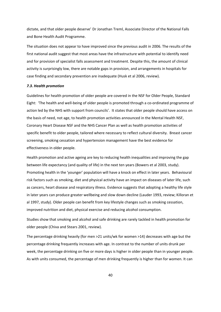dictate, and that older people deserve' Dr Jonathan Treml, Associate Director of the National Falls and Bone Health Audit Programme.

The situation does not appear to have improved since the previous audit in 2006. The results of the first national audit suggest that most areas have the infrastructure with potential to identify need and for provision of specialist falls assessment and treatment. Despite this, the amount of clinical activity is surprisingly low, there are notable gaps in provision, and arrangements in hospitals for case finding and secondary prevention are inadequate (Husk et al 2006, review).

### *7.3. Health promotion*

Guidelines for health promotion of older people are covered in the NSF for Older People, Standard Eight: 'The health and well-being of older people is promoted through a co-ordinated programme of action led by the NHS with support from councils'. It states that older people should have access on the basis of need, not age, to health promotion activities announced in the Mental Health NSF, Coronary Heart Disease NSF and the NHS Cancer Plan as well as health promotion activities of specific benefit to older people, tailored where necessary to reflect cultural diversity. Breast cancer screening, smoking cessation and hypertension management have the best evidence for effectiveness in older people.

Health promotion and active ageing are key to reducing health inequalities and improving the gap between life expectancy (and quality of life) in the next ten years (Bowers et al 2003, study). Promoting health in the 'younger' population will have a knock on effect in later years. Behavioural risk factors such as smoking, diet and physical activity have an impact on diseases of later life, such as cancers, heart disease and respiratory illness. Evidence suggests that adopting a healthy life style in later years can produce greater wellbeing and slow down decline (Lauder 1993, review; Killoran et al 1997, study). Older people can benefit from key lifestyle changes such as smoking cessation, improved nutrition and diet, physical exercise and reducing alcohol consumption.

Studies show that smoking and alcohol and safe drinking are rarely tackled in health promotion for older people (Chiva and Stears 2001, review).

The percentage drinking heavily (for men >21 units/wk for women >14) decreases with age but the percentage drinking frequently increases with age. In contrast to the number of units drunk per week, the percentage drinking on five or more days is higher in older people than in younger people. As with units consumed, the percentage of men drinking frequently is higher than for women. It can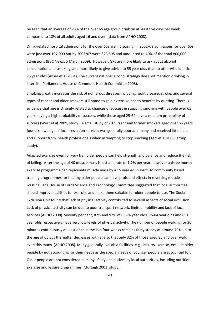be seen that an average of 23% of the over 65 age group drink on at least five days per week compared to 18% of all adults aged 16 and over (data from APHO 2008).

Drink‐related hospital admissions for the over 65s are increasing. In 2002/03 admissions for over 65s were just over 197,000 but by 2006/07 were 323,595 and amounted to 40% of the total 800,000 admissions (BBC News, 5 March 2009). However, GPs are more likely to ask about alcohol consumption and smoking, and more likely to give advice to 55 year olds than to otherwise identical 75 year olds (Arber et al 2004). The current national alcohol strategy does not mention drinking in later life (Parliament. House of Commons Health Committee 2008).

Smoking greatly increases the risk of numerous diseases including heart disease, stroke, and several types of cancer and older smokers still stand to gain extensive health benefits by quitting. There is evidence that age is strongly related to chances of success in stopping smoking with people over 65 years having a high probability of success, while those aged 25‐64 have a medium probability of success (West et al 2009, study). A small study of 20 current and former smokers aged over 65 years found knowledge of local cessation services was generally poor and many had received little help and support from health professionals when attempting to stop smoking (Kerr et al 2006, group study).

Adapted exercise even for very frail older people can help strength and balance and reduce the risk of falling. After the age of 40 muscle mass is lost at a rate of 1‐2% per year, however a three month exercise programme can rejuvenate muscle mass by a 15 year equivalent, so community based training programmes for healthy older people can have profound effects in reversing muscle wasting. The House of Lords Science and Technology Committee suggested that local authorities should improve facilities for exercise and make them suitable for older people to use. The Social Exclusion Unit found that lack of physical activity contributed to several aspects of social exclusion. Lack of physical activity can be due to poor transport network, limited mobility and lack of local services (APHO 2008). Seventy per cent, 82% and 92% of 65‐74 year olds, 75‐84 year olds and 85+ year olds respectively have very low levels of physical activity. The number of people walking for 30 minutes continuously at least once in the last four weeks remains fairly steady at around 70% up to the age of 65 but thereafter decreases with age so that only 32% of those aged 85 and over walk even this much (APHO 2008). Many generally available facilities, e.g., leisure/exercise, exclude older people by not accounting for their needs as the special needs of younger people are accounted for. Older people are not considered in many lifestyle initiatives by local authorities, including nutrition, exercise and leisure programmes (Murtagh 2003, study).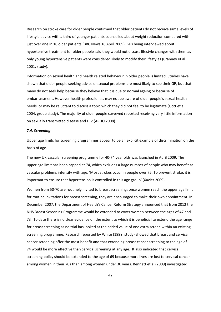Research on stroke care for older people confirmed that older patients do not receive same levels of lifestyle advice with a third of younger patients counselled about weight reduction compared with just over one in 10 older patients (BBC News 16 April 2009). GPs being interviewed about hypertensive treatment for older people said they would not discuss lifestyle changes with them as only young hypertensive patients were considered likely to modify their lifestyles (Cranney et al 2001, study).

Information on sexual health and health related behaviour in older people is limited. Studies have shown that older people seeking advice on sexual problems are most likely to see their GP, but that many do not seek help because they believe that it is due to normal ageing or because of embarrassment. However health professionals may not be aware of older people's sexual health needs, or may be reluctant to discuss a topic which they did not feel to be legitimate (Gott et al 2004, group study). The majority of older people surveyed reported receiving very little information on sexually transmitted disease and HIV (APHO 2008).

## *7.4. Screening*

Upper age limits for screening programmes appear to be an explicit example of discrimination on the basis of age.

The new UK vascular screening programme for 40‐74 year olds was launched in April 2009. The upper age limit has been capped at 74, which excludes a large number of people who may benefit as vascular problems intensify with age. 'Most strokes occur in people over 75. To prevent stroke, it is important to ensure that hypertension is controlled in this age group' (Xavier 2009).

Women from 50‐70 are routinely invited to breast screening; once women reach the upper age limit for routine invitations for breast screening, they are encouraged to make their own appointment. In December 2007, the Department of Health's Cancer Reform Strategy announced that from 2012 the NHS Breast Screening Programme would be extended to cover women between the ages of 47 and 73. To date there is no clear evidence on the extent to which it is beneficial to extend the age range for breast screening as no trial has looked at the added value of one extra screen within an existing screening programme. Research reported by White (1999, study) showed that breast and cervical cancer screening offer the most benefit and that extending breast cancer screening to the age of 74 would be more effective than cervical screening at any age. It also indicated that cervical screening policy should be extended to the age of 69 because more lives are lost to cervical cancer among women in their 70s than among women under 30 years. Bennett et al (2009) investigated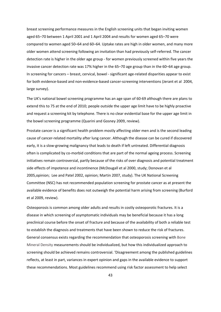breast screening performance measures in the English screening units that began inviting women aged 65–70 between 1 April 2001 and 1 April 2004 and results for women aged 65–70 were compared to women aged 50–64 and 60–64. Uptake rates are high in older women, and many more older women attend screening following an invitation than had previously self‐referred. The cancer detection rate is higher in the older age group ‐ for women previously screened within five years the invasive cancer detection rate was 17% higher in the 65–70 age group than in the 60–64 age group. In screening for cancers – breast, cervical, bowel - significant age-related disparities appear to exist for both evidence‐based and non‐evidence‐based cancer‐screening interventions (Jerant et al 2004, large survey).

The UK's national bowel screening programme has an age span of 60‐69 although there are plans to extend this to 75 at the end of 2010; people outside the upper age limit have to be highly proactive and request a screening kit by telephone. There is no clear evidential base for the upper age limit in the bowel screening programme (Quarini and Gosney 2009, review).

Prostate cancer is a significant health problem mostly affecting older men and is the second leading cause of cancer‐related mortality after lung cancer. Although the disease can be cured if discovered early, it is a slow-growing malignancy that leads to death if left untreated. Differential diagnosis often is complicated by co-morbid conditions that are part of the normal ageing process. Screening initiatives remain controversial, partly because of the risks of over diagnosis and potential treatment side effects of impotence and incontinence (McDougall et al 2000, study; Donovan et al 2005,opinion; Lee and Patel 2002, opinion; Martin 2007, study). The UK National Screening Committee (NSC) has not recommended population screening for prostate cancer as at present the available evidence of benefits does not outweigh the potential harm arising from screening (Burford et al 2009, review).

Osteoporosis is common among older adults and results in costly osteoporotic fractures. It is a disease in which screening of asymptomatic individuals may be beneficial because it has a long preclinical course before the onset of fracture and because of the availability of both a reliable test to establish the diagnosis and treatments that have been shown to reduce the risk of fractures. General consensus exists regarding the recommendation that osteoporosis screening with Bone Mineral Density measurements should be individualized, but how this individualized approach to screening should be achieved remains controversial. 'Disagreement among the published guidelines reflects, at least in part, variances in expert opinion and gaps in the available evidence to support these recommendations. Most guidelines recommend using risk factor assessment to help select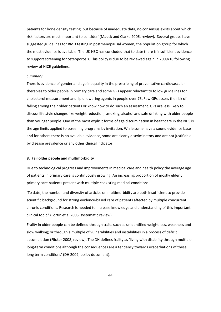patients for bone density testing, but because of inadequate data, no consensus exists about which risk factors are most important to consider' (Mauck and Clarke 2006, review). Several groups have suggested guidelines for BMD testing in postmenopausal women, the population group for which the most evidence is available. The UK NSC has concluded that to date there is insufficient evidence to support screening for osteoporosis. This policy is due to be reviewed again in 2009/10 following review of NICE guidelines.

### *Summary*

There is evidence of gender and age inequality in the prescribing of preventative cardiovascular therapies to older people in primary care and some GPs appear reluctant to follow guidelines for cholesterol measurement and lipid lowering agents in people over 75. Few GPs assess the risk of falling among their older patients or know how to do such an assessment. GPs are less likely to discuss life style changes like weight reduction, smoking, alcohol and safe drinking with older people than younger people. One of the most explicit forms of age discrimination in healthcare in the NHS is the age limits applied to screening programs by invitation. While some have a sound evidence base and for others there is no available evidence, some are clearly discriminatory and are not justifiable by disease prevalence or any other clinical indicator.

### **8. Fail older people and multimorbidity**

Due to technological progress and improvements in medical care and health policy the average age of patients in primary care is continuously growing. An increasing proportion of mostly elderly primary care patients present with multiple coexisting medical conditions.

'To date, the number and diversity of articles on multimorbidity are both insufficient to provide scientific background for strong evidence‐based care of patients affected by multiple concurrent chronic conditions. Research is needed to increase knowledge and understanding of this important clinical topic.' (Fortin et al 2005, systematic review).

Frailty in older people can be defined through traits such as unidentified weight loss, weakness and slow walking; or through a multiple of vulnerabilities and instabilities in a process of deficit accumulation (Flicker 2008, review). The DH defines frailty as 'living with disability through multiple long-term conditions although the consequences are a tendency towards exacerbations of these long term conditions' (DH 2009, policy document).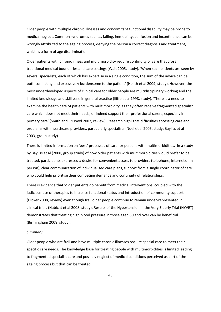Older people with multiple chronic illnesses and concomitant functional disability may be prone to medical neglect. Common syndromes such as falling, immobility, confusion and incontinence can be wrongly attributed to the ageing process, denying the person a correct diagnosis and treatment, which is a form of age discrimination.

Older patients with chronic illness and multimorbidity require continuity of care that cross traditional medical boundaries and care settings (Wait 2005, study). 'When such patients are seen by several specialists, each of which has expertise in a single condition, the sum of the advice can be both conflicting and excessively burdensome to the patient' (Heath et al 2009, study). However, the most underdeveloped aspects of clinical care for older people are multidisciplinary working and the limited knowledge and skill base in general practice (Iliffe et al 1998, study). 'There is a need to examine the health care of patients with multimorbidity, as they often receive fragmented specialist care which does not meet their needs, or indeed support their professional carers, especially in primary care' (Smith and O'Dowd 2007, review). Research highlights difficulties accessing care and problems with healthcare providers, particularly specialists (Noel et al 2005, study; Bayliss et al 2003, group study).

There is limited information on 'best' processes of care for persons with multimorbidities. In a study by Bayliss et al (2008, group study) of how older patients with multimorbidities would prefer to be treated, participants expressed a desire for convenient access to providers (telephone, internet or in person), clear communication of individualised care plans, support from a single coordinator of care who could help prioritise their competing demands and continuity of relationships.

There is evidence that 'older patients do benefit from medical interventions, coupled with the judicious use of therapies to increase functional status and introduction of community support' (Flicker 2008, review) even though frail older people continue to remain under‐represented in clinical trials (Habicht et al 2008, study). Results of the Hypertension in the Very Elderly Trial (HYVET) demonstrates that treating high blood pressure in those aged 80 and over can be beneficial (Birmingham 2008, study).

## *Summary*

Older people who are frail and have multiple chronic illnesses require special care to meet their specific care needs. The knowledge base for treating people with multimorbidities is limited leading to fragmented specialist care and possibly neglect of medical conditions perceived as part of the ageing process but that can be treated.

45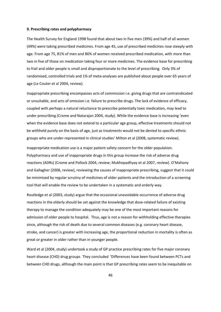#### **9. Prescribing rates and polypharmacy**

The Health Survey for England 1998 found that about two in five men (39%) and half of all women (49%) were taking prescribed medicines. From age 45, use of prescribed medicines rose steeply with age. From age 75, 81% of men and 86% of women received prescribed medication, with more than two in five of those on medication taking four or more medicines. The evidence base for prescribing to frail and older people is small and disproportionate to the level of prescribing. Only 3% of randomised, controlled trials and 1% of meta‐analyses are published about people over 65 years of age (Le Couter et al 2004, review).

Inappropriate prescribing encompasses acts of commission i.e. giving drugs that are contraindicated or unsuitable, and acts of omission i.e. failure to prescribe drugs. The lack of evidence of efficacy, coupled with perhaps a natural reluctance to prescribe potentially toxic medication, may lead to under prescribing (Crome and Natarajan 2004, study). While the evidence base is increasing 'even when the evidence base does not extend to a particular age group, effective treatments should not be withheld purely on the basis of age, just as treatments would not be denied to specific ethnic groups who are under‐represented in clinical studies' Milton et al (2008, systematic review).

Inappropriate medication use is a major patient safety concern for the older population. Polypharmacy and use of inappropriate drugs in this group increase the risk of adverse drug reactions (ADRs) (Crome and Pollock 2004, review; Mukhopadhyay et al 2007, review). O'Mahony and Gallagher (2008, review), reviewing the causes of inappropriate prescribing, suggest that it could be minimised by regular scrutiny of medicines of older patients and the introduction of a screening tool that will enable the review to be undertaken in a systematic and orderly way.

Routledge et al (2003, study) argue that the occasional unavoidable occurrence of adverse drug reactions in the elderly should be set against the knowledge that dose-related failure of existing therapy to manage the condition adequately may be one of the most important reasons for admission of older people to hospital. Thus, age is not a reason for withholding effective therapies since, although the risk of death due to several common diseases (e.g. coronary heart disease, stroke, and cancer) is greater with increasing age, the proportional reduction in mortality is often as great or greater in older rather than in younger people.

Ward et al (2004, study) undertook a study of GP practice prescribing rates for five major coronary heart disease (CHD) drug groups. They concluded 'Differences have been found between PCTs and between CHD drugs, although the main point is that GP prescribing rates seem to be inequitable on

46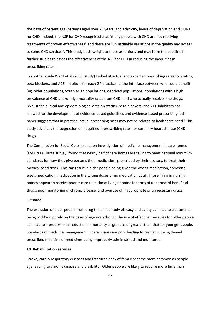the basis of patient age (patients aged over 75 years) and ethnicity, levels of deprivation and SMRs for CHD. Indeed, the NSF for CHD recognised that "many people with CHD are not receiving treatments of proven effectiveness" and there are "unjustifiable variations in the quality and access to some CHD services". This study adds weight to these assertions and may form the baseline for further studies to assess the effectiveness of the NSF for CHD in reducing the inequities in prescribing rates.'

In another study Ward et al (2005, study) looked at actual and expected prescribing rates for statins, beta blockers, and ACE inhibitors for each GP practice, ie the interface between who could benefit (eg, older populations, South Asian populations, deprived populations, populations with a high prevalence of CHD and/or high mortality rates from CHD) and who actually receives the drugs. 'Whilst the clinical and epidemiological data on statins, beta‐blockers, and ACE inhibitors has allowed for the development of evidence‐based guidelines and evidence‐based prescribing, this paper suggests that in practice, actual prescribing rates may not be related to healthcare need.' This study advances the suggestion of inequities in prescribing rates for coronary heart disease (CHD) drugs.

The Commission for Social Care Inspection investigation of medicine management in care homes (CSCI 2006, large survey) found that nearly half of care homes are failing to meet national minimum standards for how they give persons their medication, prescribed by their doctors, to treat their medical conditions. This can result in older people being given the wrong medication, someone else's medication, medication in the wrong doses or no medication at all. Those living in nursing homes appear to receive poorer care than those living at home in terms of underuse of beneficial drugs, poor monitoring of chronic disease, and overuse of inappropriate or unnecessary drugs.

### *Summary*

The exclusion of older people from drug trials that study efficacy and safety can lead to treatments being withheld purely on the basis of age even though the use of effective therapies for older people can lead to a proportional reduction in mortality as great as or greater than that for younger people. Standards of medicine management in care homes are poor leading to residents being denied prescribed medicine or medicines being improperly administered and monitored.

## **10. Rehabilitation services**

Stroke, cardio‐respiratory diseases and fractured neck of femur become more common as people age leading to chronic disease and disability. Older people are likely to require more time than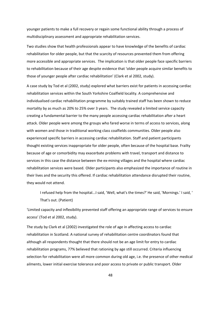younger patients to make a full recovery or regain some functional ability through a process of multidisciplinary assessment and appropriate rehabilitation services.

Two studies show that health professionals appear to have knowledge of the benefits of cardiac rehabilitation for older people, but that the scarcity of resources prevented them from offering more accessible and appropriate services. The implication is that older people face specific barriers to rehabilitation because of their age despite evidence that 'older people acquire similar benefits to those of younger people after cardiac rehabilitation' (Clark et al 2002, study).

A case study by Tod et al (2002, study) explored what barriers exist for patients in accessing cardiac rehabilitation services within the South Yorkshire Coalfield locality. A comprehensive and individualised cardiac rehabilitation programme by suitably trained staff has been shown to reduce mortality by as much as 20% to 25% over 3 years. The study revealed a limited service capacity creating a fundamental barrier to the many people accessing cardiac rehabilitation after a heart attack. Older people were among the groups who fared worse in terms of access to services, along with women and those in traditional working class coalfields communities. Older people also experienced specific barriers in accessing cardiac rehabilitation. Staff and patient participants thought existing services inappropriate for older people, often because of the hospital base. Frailty because of age or comorbidity may exacerbate problems with travel, transport and distance to services in this case the distance between the ex-mining villages and the hospital where cardiac rehabilitation services were based. Older participants also emphasized the importance of routine in their lives and the security this offered. If cardiac rehabilitation attendance disrupted their routine, they would not attend.

I refused help from the hospital...I said, 'Well, what's the times?' He said, 'Mornings.' I said, ' That's out. (Patient)

'Limited capacity and inflexibility prevented staff offering an appropriate range of services to ensure access' (Tod et al 2002, study).

The study by Clark et al (2002) investigated the role of age in affecting access to cardiac rehabilitation in Scotland. A national survey of rehabilitation centre coordinators found that although all respondents thought that there should not be an age limit for entry to cardiac rehabilitation programs, 77% believed that rationing by age still occurred. Criteria influencing selection for rehabilitation were all more common during old age, i.e. the presence of other medical ailments, lower initial exercise tolerance and poor access to private or public transport. Older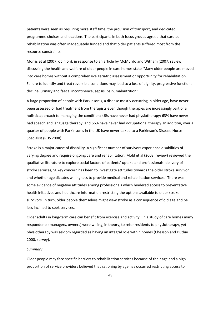patients were seen as requiring more staff time, the provision of transport, and dedicated programme choices and locations. The participants in both focus groups agreed that cardiac rehabilitation was often inadequately funded and that older patients suffered most from the resource constraints.'

Morris et al (2007, opinion), in response to an article by McMurdo and Witham (2007, review) discussing the health and welfare of older people in care homes state 'Many older people are moved into care homes without a comprehensive geriatric assessment or opportunity for rehabilitation. ... Failure to identify and treat reversible conditions may lead to a loss of dignity, progressive functional decline, urinary and faecal incontinence, sepsis, pain, malnutrition.'

A large proportion of people with Parkinson's, a disease mostly occurring in older age, have never been assessed or had treatment from therapists even though therapies are increasingly part of a holistic approach to managing the condition: 46% have never had physiotherapy; 63% have never had speech and language therapy; and 66% have never had occupational therapy. In addition, over a quarter of people with Parkinson's in the UK have never talked to a Parkinson's Disease Nurse Specialist (PDS 2008).

Stroke is a major cause of disability. A significant number of survivors experience disabilities of varying degree and require ongoing care and rehabilitation. Mold et al (2003, review) reviewed the qualitative literature to explore social factors of patients' uptake and professionals' delivery of stroke services, 'A key concern has been to investigate attitudes towards the older stroke survivor and whether age dictates willingness to provide medical and rehabilitation services.' There was some evidence of negative attitudes among professionals which hindered access to preventative health initiatives and healthcare information restricting the options available to older stroke survivors. In turn, older people themselves might view stroke as a consequence of old age and be less inclined to seek services.

Older adults in long‐term care can benefit from exercise and activity. In a study of care homes many respondents (managers, owners) were willing, in theory, to refer residents to physiotherapy, yet physiotherapy was seldom regarded as having an integral role within homes (Chesson and Duthie 2000, survey).

## *Summary*

Older people may face specific barriers to rehabilitation services because of their age and a high proportion of service providers believed that rationing by age has occurred restricting access to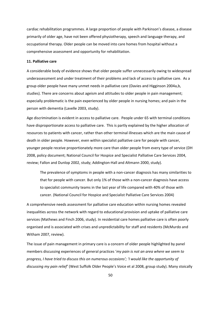cardiac rehabilitation programmes. A large proportion of people with Parkinson's disease, a disease primarily of older age, have not been offered physiotherapy, speech and language therapy, and occupational therapy. Older people can be moved into care homes from hospital without a comprehensive assessment and opportunity for rehabilitation.

### **11. Palliative care**

A considerable body of evidence shows that older people suffer unnecessarily owing to widespread underassessment and under treatment of their problems and lack of access to palliative care. As a group older people have many unmet needs in palliative care (Davies and Higginson 2004a,b, studies). There are concerns about ageism and attitudes to older people in pain management; especially problematic is the pain experienced by older people in nursing homes; and pain in the person with dementia (Lavelle 2003, study).

Age discrimination is evident in access to palliative care. People under 65 with terminal conditions have disproportionate access to palliative care. This is partly explained by the higher allocation of resources to patients with cancer, rather than other terminal illnesses which are the main cause of death in older people. However, even within specialist palliative care for people with cancer, younger people receive proportionately more care than older people from every type of service (DH 2008, policy document; National Council for Hospice and Specialist Palliative Care Services 2004, review; Fallon and Dunlop 2002, study; Addington‐Hall and Altmann 2000, study).

The prevalence of symptoms in people with a non-cancer diagnosis has many similarities to that for people with cancer. But only 1% of those with a non-cancer diagnosis have access to specialist community teams in the last year of life compared with 40% of those with cancer. (National Council for Hospice and Specialist Palliative Care Services 2004)

A comprehensive needs assessment for palliative care education within nursing homes revealed inequalities across the network with regard to educational provision and uptake of palliative care services (Mathews and Finch 2006, study). In residential care homes palliative care is often poorly organised and is associated with crises and unpredictability for staff and residents (McMurdo and Witham 2007, review).

The issue of pain management in primary care is a concern of older people highlighted by panel members discussing experiences of general practices '*my pain is not an area where we seem to progress, I have tried to discuss this on numerous occasions'; 'I would like the opportunity of discussing my pain relief'* (West Suffolk Older People's Voice et al 2008, group study). Many stoically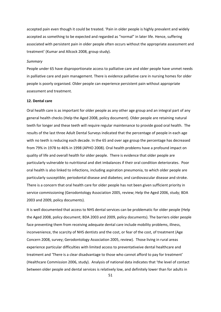accepted pain even though it could be treated. 'Pain in older people is highly prevalent and widely accepted as something to be expected and regarded as "normal" in later life. Hence, suffering associated with persistent pain in older people often occurs without the appropriate assessment and treatment' (Kumar and Allcock 2008, group study).

### *Summary*

People under 65 have disproportionate access to palliative care and older people have unmet needs in palliative care and pain management. There is evidence palliative care in nursing homes for older people is poorly organised. Older people can experience persistent pain without appropriate assessment and treatment.

## **12. Dental care**

Oral health care is as important for older people as any other age group and an integral part of any general health checks (Help the Aged 2008, policy document). Older people are retaining natural teeth for longer and these teeth will require regular maintenance to provide good oral health. The results of the last three Adult Dental Surveys indicated that the percentage of people in each age with no teeth is reducing each decade. In the 65 and over age group the percentage has decreased from 79% in 1978 to 46% in 1998 (APHO 2008). Oral health problems have a profound impact on quality of life and overall health for older people. There is evidence that older people are particularly vulnerable to nutritional and diet imbalances if their oral condition deteriorates. Poor oral health is also linked to infections, including aspiration pneumonia, to which older people are particularly susceptible; periodontal disease and diabetes; and cardiovascular disease and stroke. There is a concern that oral health care for older people has not been given sufficient priority in service commissioning (Gerodontology Association 2005, review; Help the Aged 2006, study; BDA 2003 and 2009, policy documents).

It is well documented that access to NHS dental services can be problematic for older people (Help the Aged 2008, policy document; BDA 2003 and 2009, policy documents). The barriers older people face preventing them from receiving adequate dental care include mobility problems, illness, inconvenience, the scarcity of NHS dentists and the cost, or fear of the cost, of treatment (Age Concern 2008, survey; Gerodontology Association 2005, review). Those living in rural areas experience particular difficulties with limited access to preventativeive dental healthcare and treatment and 'There is a clear disadvantage to those who cannot afford to pay for treatment' (Healthcare Commission 2006, study). Analysis of national data indicates that 'the level of contact between older people and dental services is relatively low, and definitely lower than for adults in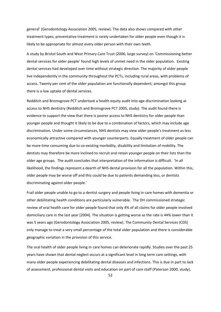general' (Gerodontology Association 2005, review). The data also shows compared with other treatment types, preventative treatment is rarely undertaken for older people even though it is likely to be appropriate for almost every older person with their own teeth.

A study by Bristol South and West Primary Care Trust (2006, large survey) on 'Commissioning better dental services for older people' found high levels of unmet need in the older population. Existing dental services had developed over time without strategic direction. The majority of older people live independently in the community throughout the PCTs, including rural areas, with problems of access. Twenty per cent of the older population are functionally dependent; amongst this group there is a low uptake of dental services.

Redditch and Bromsgrove PCT undertook a health equity audit into age discrimination looking at access to NHS dentistry (Redditch and Bromsgrove PCT 2005, study). The audit found there is evidence to support the view that there is poorer access to NHS dentistry for older people than younger people and thought it likely to be due to a combination of factors, which may include age discrimination. Under some circumstances, NHS dentists may view older people's treatment as less economically attractive compared with younger counterparts. Equally treatment of older people can be more time consuming due to co-existing morbidity, disability and limitation of mobility. The dentists may therefore be more inclined to recruit and retain younger people on their lists than the older age groups. The audit concludes that interpretation of the information is difficult. 'In all likelihood, the findings represent a dearth of NHS dental provision for all the population. Within this, older people may be worse off and this could be due to patients demanding less, or dentists discriminating against older people.'

Frail older people unable to go to a dentist surgery and people living in care homes with dementia or other debilitating health conditions are particularly vulnerable. The DH commissioned strategic review of oral health care for older people found that only 4% of all claims for older people involved domiciliary care in the last year [2004]. The situation is getting worse as the rate is 44% lower than it was 5 years ago (Gerodontology Association 2005, review). The Community Dental Services (CDS) only manage to treat a very small percentage of the total older population and there is considerable geographic variation in the provision of this service.

The oral health of older people living in care homes can deteriorate rapidly. Studies over the past 25 years have shown that dental neglect occurs at a significant level in long term care settings, with many older people experiencing debilitating dental diseases and infections. This is due in part to lack of assessment, professional dental visits and education on part of care staff (Paterson 2000, study).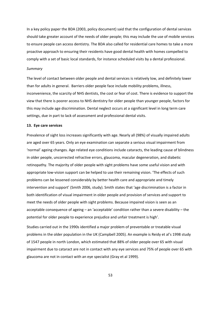In a key policy paper the BDA (2003, policy document) said that the configuration of dental services should take greater account of the needs of older people; this may include the use of mobile services to ensure people can access dentistry. The BDA also called for residential care homes to take a more proactive approach to ensuring their residents have good dental health with homes compelled to comply with a set of basic local standards, for instance scheduled visits by a dental professional.

#### *Summary*

The level of contact between older people and dental services is relatively low, and definitely lower than for adults in general. Barriers older people face include mobility problems, illness, inconvenience, the scarcity of NHS dentists, the cost or fear of cost. There is evidence to support the view that there is poorer access to NHS dentistry for older people than younger people, factors for this may include age discrimination. Dental neglect occurs at a significant level in long term care settings, due in part to lack of assessment and professional dental visits.

### **13. Eye care services**

Prevalence of sight loss increases significantly with age. Nearly all (98%) of visually impaired adults are aged over 65 years. Only an eye examination can separate a serious visual impairment from 'normal' ageing changes. Age related eye conditions include cataracts, the leading cause of blindness in older people, uncorrected refractive errors, glaucoma, macular degeneration, and diabetic retinopathy. The majority of older people with sight problems have some useful vision and with appropriate low-vision support can be helped to use their remaining vision. 'The effects of such problems can be lessened considerably by better health care and appropriate and timely intervention and support' (Smith 2006, study). Smith states that 'age discrimination is a factor in both identification of visual impairment in older people and provision of services and support to meet the needs of older people with sight problems. Because impaired vision is seen as an acceptable consequence of ageing – an 'acceptable' condition rather than a severe disability – the potential for older people to experience prejudice and unfair treatment is high'.

Studies carried out in the 1990s identified a major problem of preventable or treatable visual problems in the older population in the UK (Campbell 2005). An example is Reidy et al's 1998 study of 1547 people in north London, which estimated that 88% of older people over 65 with visual impairment due to cataract are not in contact with any eye services and 75% of people over 65 with glaucoma are not in contact with an eye specialist (Gray et al 1999).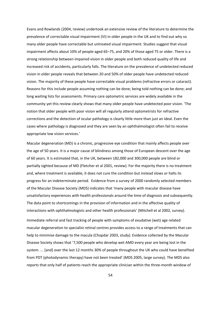Evans and Rowlands (2004, review) undertook an extensive review of the literature to determine the prevalence of correctable visual impairment (VI) in older people in the UK and to find out why so many older people have correctable but untreated visual impairment. Studies suggest that visual impairment affects about 10% of people aged 65–75, and 20% of those aged 75 or older. There is a strong relationship between impaired vision in older people and both reduced quality of life and increased risk of accidents, particularly falls. The literature on the prevalence of undetected reduced vision in older people reveals that between 20 and 50% of older people have undetected reduced vision. The majority of these people have correctable visual problems (refractive errors or cataract). Reasons for this include people assuming nothing can be done; being told nothing can be done; and long waiting lists for assessments. Primary care optometric services are widely available in the community yet this review clearly shows that many older people have undetected poor vision. 'The notion that older people with poor vision will all regularly attend optometrists for refractive corrections and the detection of ocular pathology is clearly little more than just an ideal. Even the cases where pathology is diagnosed and they are seen by an ophthalmologist often fail to receive appropriate low vision services.'

Macular degeneration (MD) is a chronic, progressive eye condition that mainly affects people over the age of 50 years. It is a major cause of blindness among those of European descent over the age of 60 years. It is estimated that, in the UK, between 182,000 and 300,000 people are blind or partially sighted because of MD (Fletcher et al 2001, review). For the majority there is no treatment and, where treatment is available, it does not cure the condition but instead slows or halts its progress for an indeterminate period. Evidence from a survey of 2000 randomly selected members of the Macular Disease Society (MDS) indicates that 'many people with macular disease have unsatisfactory experiences with health professionals around the time of diagnosis and subsequently. The data point to shortcomings in the provision of information and in the affective quality of interactions with ophthalmologists and other health professionals' (Mitchell et al 2002, survey).

Immediate referral and fast tracking of people with symptoms of exudative (wet) age related macular degeneration to specialist retinal centres provides access to a range of treatments that can help to minimise damage to the macula (Chopdar 2003, study). Evidence collected by the Macular Disease Society shows that '7,500 people who develop wet AMD every year are being lost in the system. ... [and] over the last 12 months 30% of people throughout the UK who could have benefited from PDT (photodynamic therapy) have not been treated' (MDS 2005, large survey). The MDS also reports that only half of patients reach the appropriate clinician within the three‐month window of

54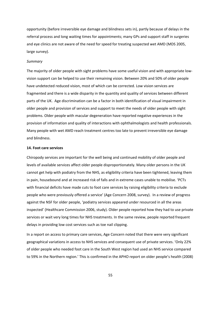opportunity (before irreversible eye damage and blindness sets in), partly because of delays in the referral process and long waiting times for appointments; many GPs and support staff in surgeries and eye clinics are not aware of the need for speed for treating suspected wet AMD (MDS 2005, large survey).

#### *Summary*

The majority of older people with sight problems have some useful vision and with appropriate low‐ vision support can be helped to use their remaining vision. Between 20% and 50% of older people have undetected reduced vision, most of which can be corrected. Low vision services are fragmented and there is a wide disparity in the quantity and quality of services between different parts of the UK. Age discrimination can be a factor in both identification of visual impairment in older people and provision of services and support to meet the needs of older people with sight problems. Older people with macular degeneration have reported negative experiences in the provision of information and quality of interactions with ophthalmologists and health professionals. Many people with wet AMD reach treatment centres too late to prevent irreversible eye damage and blindness.

## **14. Foot care services**

Chiropody services are important for the well being and continued mobility of older people and levels of available services affect older people disproportionately. Many older persons in the UK cannot get help with podiatry from the NHS, as eligibility criteria have been tightened, leaving them in pain, housebound and at increased risk of falls and in extreme cases unable to mobilise. 'PCTs with financial deficits have made cuts to foot care services by raising eligibility criteria to exclude people who were previously offered a service' (Age Concern 2008, survey). In a review of progress against the NSF for older people, 'podiatry services appeared under resourced in all the areas inspected' (Healthcare Commission 2006, study). Older people reported how they had to use private services or wait very long times for NHS treatments. In the same review, people reported frequent delays in providing low cost services such as toe nail clipping.

In a report on access to primary care services, Age Concern noted that there were very significant geographical variations in access to NHS services and consequent use of private services. 'Only 22% of older people who needed foot care in the South West region had used an NHS service compared to 59% in the Northern region.' This is confirmed in the APHO report on older people's health (2008)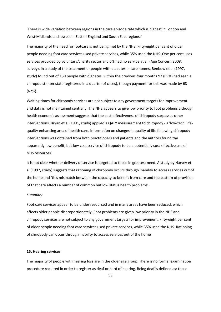'There is wide variation between regions in the care episode rate which is highest in London and West Midlands and lowest in East of England and South East regions.'

The majority of the need for footcare is not being met by the NHS. Fifty-eight per cent of older people needing foot care services used private services, while 35% used the NHS. One per cent uses services provided by voluntary/charity sector and 6% had no service at all (Age Concern 2008, survey). In a study of the treatment of people with diabetes in care homes, Benbow et al (1997, study) found out of 159 people with diabetes, within the previous four months 97 (89%) had seen a chiropodist (non‐state registered in a quarter of cases), though payment for this was made by 68 (62%).

Waiting times for chiropody services are not subject to any government targets for improvement and data is not maintained centrally. The NHS appears to give low priority to foot problems although health economic assessment suggests that the cost effectiveness of chiropody surpasses other interventions. Bryan et al (1991, study) applied a QALY measurement to chiropody ‐ a 'low‐tech' life‐ quality enhancing area of health care. Information on changes in quality of life following chiropody interventions was obtained from both practitioners and patients and the authors found the apparently low benefit, but low cost service of chiropody to be a potentially cost-effective use of NHS resources.

It is not clear whether delivery of service is targeted to those in greatest need. A study by Harvey et al (1997, study) suggests that rationing of chiropody occurs through inability to access services out of the home and 'this mismatch between the capacity to benefit from care and the pattern of provision of that care affects a number of common but low status health problems'.

#### *Summary*

Foot care services appear to be under resourced and in many areas have been reduced, which affects older people disproportionately. Foot problems are given low priority in the NHS and chiropody services are not subject to any government targets for improvement. Fifty‐eight per cent of older people needing foot care services used private services, while 35% used the NHS. Rationing of chiropody can occur through inability to access services out of the home

## **15. Hearing services**

The majority of people with hearing loss are in the older age group. There is no formal examination procedure required in order to register as deaf or hard of hearing. Being deaf is defined as: those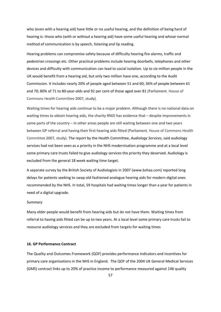who (even with a hearing aid) have little or no useful hearing, and the definition of being hard of hearing is: those who (with or without a hearing aid) have some useful hearing and whose normal method of communication is by speech, listening and lip reading.

Hearing problems can compromise safety because of difficulty hearing fire alarms, traffic and pedestrian crossings etc. Other practical problems include hearing doorbells, telephones and other devices and difficulty with communication can lead to social isolation. Up to six million people in the UK would benefit from a hearing aid, but only two million have one, according to the Audit Commission. It includes nearly 20% of people aged between 51 and 60; 36% of people between 61 and 70; 80% of 71 to 80-year-olds and 92 per cent of those aged over 81 (Parliament. House of Commons Health Committee 2007, study).

Waiting times for hearing aids continue to be a major problem. Although there is no national data on waiting times to obtain hearing aids, the charity RNID has evidence that – despite improvements in some parts of the country – in other areas people are still waiting between one and two years between GP referral and having their first hearing aids fitted (Parliament. House of Commons Health Committee 2007, study). The report by the Health Committee, *Audiology Services*, said audiology services had not been seen as a priority in the NHS modernisation programme and at a local level some primary care trusts failed to give audiology services the priority they deserved. Audiology is excluded from the general 18 week waiting time target.

A separate survey by the British Society of Audiologists in 2007 (www.bshaa.com) reported long delays for patients seeking to swap old-fashioned analogue hearing aids for modern digital ones recommended by the NHS. In total, 59 hospitals had waiting times longer than a year for patients in need of a digital upgrade.

## *Summary*

Many older people would benefit from hearing aids but do not have them. Waiting times from referral to having aids fitted can be up to two years. At a local level some primary care trusts fail to resource audiology services and they are excluded from targets for waiting times

## **16. GP Performance Contract**

The Quality and Outcomes Framework (QOF) provides performance indicators and incentives for primary care organisations in the NHS in England. The QOF of the 2004 UK General Medical Services (GMS) contract links up to 20% of practice income to performance measured against 146 quality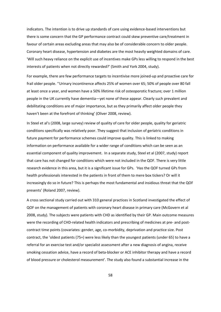indicators. The intention is to drive up standards of care using evidence-based interventions but there is some concern that the GP performance contract could skew preventive care/treatment in favour of certain areas excluding areas that may also be of considerable concern to older people. Coronary heart disease, hypertension and diabetes are the most heavily weighted domains of care. 'Will such heavy reliance on the explicit use of incentives make GPs less willing to respond in the best interests of patients when not directly rewarded?' (Smith and York 2004, study).

For example, there are few performance targets to incentivise more joined‐up and proactive care for frail older people. ''Urinary incontinence affects 25% of women over 65; 50% of people over 80 fall at least once a year, and women have a 50% lifetime risk of osteoporotic fracture; over 1 million people in the UK currently have dementia—yet none of these appear. Clearly such prevalent and debilitating conditions are of major importance, but as they primarily affect older people they haven't been at the forefront of thinking' (Oliver 2008, review).

In Steel et al's (2008, large survey) review of quality of care for older people, quality for geriatric conditions specifically was relatively poor. They suggest that inclusion of geriatric conditions in future payment for performance schemes could improve quality. This is linked to making information on performance available for a wider range of conditions which can be seen as an essential component of quality improvement. In a separate study, Steel et al (2007, study) report that care has not changed for conditions which were not included in the QOF. There is very little research evidence in this area, but it is a significant issue for GPs. 'Has the QOF turned GPs from health professionals interested in the patients in front of them to mere box tickers? Or will it increasingly do so in future? This is perhaps the most fundamental and insidious threat that the QOF presents' (Roland 2007, review).

A cross sectional study carried out with 310 general practices in Scotland investigated the effect of QOF on the management of patients with coronary heart disease in primary care (McGovern et al 2008, study). The subjects were patients with CHD as identified by their GP. Main outcome measures were the recording of CHD-related health indicators and prescribing of medicines at pre- and postcontract time points (covariates: gender, age, co-morbidity, deprivation and practice size. Post contract, the 'oldest patients (75+) were less likely than the youngest patients (under 65) to have a referral for an exercise test and/or specialist assessment after a new diagnosis of angina, receive smoking cessation advice, have a record of beta‐blocker or ACE inhibitor therapy and have a record of blood pressure or cholesterol measurement'. The study also found a substantial increase in the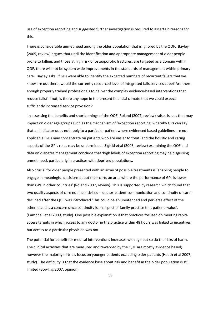use of exception reporting and suggested further investigation is required to ascertain reasons for this.

There is considerable unmet need among the older population that is ignored by the QOF. Bayley (2005, review) argues that until the identification and appropriate management of older people prone to falling, and those at high risk of osteoporotic fractures, are targeted as a domain within QOF, there will not be system wide improvements in the standards of management within primary care. Bayley asks 'If GPs were able to identify the expected numbers of recurrent fallers that we know are out there, would the currently resourced level of integrated falls services cope? Are there enough properly trained professionals to deliver the complex evidence‐based interventions that reduce falls? If not, is there any hope in the present financial climate that we could expect sufficiently increased service provision?'

In assessing the benefits and shortcomings of the QOF, Roland (2007, review) raises issues that may impact on older age groups such as the mechanism of 'exception reporting' whereby GPs can say that an indicator does not apply to a particular patient where evidenced based guidelines are not applicable; GPs may concentrate on patients who are easier to treat; and the holistic and caring aspects of the GP's roles may be undermined. Sigfrid et al (2006, review) examining the QOF and data on diabetes management conclude that 'high levels of exception reporting may be disguising unmet need, particularly in practices with deprived populations.

Also crucial for older people presented with an array of possible treatments is 'enabling people to engage in meaningful decisions about their care, an area where the performance of GPs is lower than GPs in other countries' (Roland 2007, review). This is supported by research which found that two quality aspects of care not incentivised – doctor-patient communication and continuity of care declined after the QOF was introduced 'This could be an unintended and perverse effect of the scheme and is a concern since continuity is an aspect of family practice that patients value'. (Campbell et al 2009, study). One possible explanation isthat practices focused on meeting rapid‐ access targets in which access to any doctor in the practice within 48 hours was linked to incentives but access to a particular physician was not.

The potential for benefit for medical interventions increases with age but so do the risks of harm. The clinical activities that are measured and rewarded by the QOF are mostly evidence based; however the majority of trials focus on younger patients excluding older patients (Heath et al 2007, study). The difficulty is that the evidence base about risk and benefit in the older population is still limited (Bowling 2007, opinion).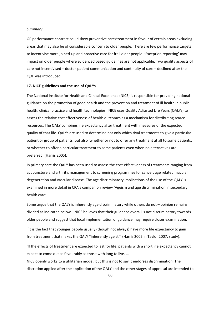#### *Summary*

GP performance contract could skew preventive care/treatment in favour of certain areas excluding areas that may also be of considerable concern to older people. There are few performance targets to incentivise more joined‐up and proactive care for frail older people. 'Exception reporting' may impact on older people where evidenced based guidelines are not applicable. Two quality aspects of care not incentivised – doctor-patient communication and continuity of care – declined after the QOF was introduced.

## **17. NICE guidelines and the use of QALYs**

The National Institute for Health and Clinical Excellence (NICE) is responsible for providing national guidance on the promotion of good health and the prevention and treatment of ill health in public health, clinical practice and health technologies. NICE uses Quality Adjusted Life Years (QALYs) to assess the relative cost effectiveness of health outcomes as a mechanism for distributing scarce resources. The QALY combines life expectancy after treatment with measures of the expected quality of that life. QALYs are used to determine not only which rival treatments to give a particular patient or group of patients, but also 'whether or not to offer any treatment at all to some patients, or whether to offer a particular treatment to some patients even when no alternatives are preferred' (Harris 2005).

In primary care the QALY has been used to assess the cost-effectiveness of treatments ranging from acupuncture and arthritis management to screening programmes for cancer, age related macular degeneration and vascular disease. The age discriminatory implications of the use of the QALY is examined in more detail in CPA's companion review 'Ageism and age discrimination in secondary health care'.

Some argue that the QALY is inherently age discriminatory while others do not – opinion remains divided as indicated below. NICE believes that their guidance overall is not discriminatory towards older people and suggest that local implementation of guidance may require closer examination.

'It is the fact that younger people usually (though not always) have more life expectancy to gain from treatment that makes the QALY "inherently ageist"' (Harris 2005 in Taylor 2007, study).

'If the effects of treatment are expected to last for life, patients with a short life expectancy cannot expect to come out as favourably as those with long to live. ...

NICE openly works to a utilitarian model, but this is not to say it endorses discrimination. The discretion applied after the application of the QALY and the other stages of appraisal are intended to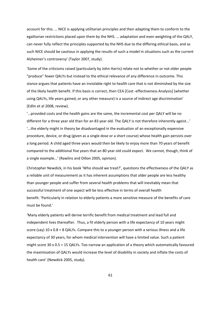account for this. … NICE is applying utilitarian principles and then adapting them to conform to the egalitarian restrictions placed upon them by the NHS. … adaptation and even weighting of the QALY, can never fully reflect the principles supported by the NHS due to the differing ethical basis, and as such NICE should be cautious in applying the results of such a model in situations such as the current Alzheimer's controversy' (Taylor 2007, study).

'Some of the criticisms raised (particularly by John Harris) relate not to whether or not older people "produce" fewer QALYs but instead to the ethical relevance of any difference in outcome. This stance argues that patients have an inviolable right to health care that is not diminished by the size of the likely health benefit. If this basis is correct, then CEA [Cost ‐effectiveness Analysis] (whether using QALYs, life years gained, or any other measure) is a source of indirect age discrimination' (Edlin et al 2008, review).

'...provided costs and the health gains are the same, the incremental cost per QALY will be no different for a three year old than for an 83 year old. The QALY is not therefore inherently ageist...' '...the elderly might in theory be disadvantaged in the evaluation of an exceptionally expensive procedure, device, or drug (given as a single dose or a short course) whose health gain persists over a long period. A child aged three years would then be likely to enjoy more than 70 years of benefit compared to the additional five years that an 80 year old could expect. We cannot, though, think of a single example...' (Rawlins and Dillon 2005, opinion).

Christopher Newdick, in his book 'Who should we treat?', questions the effectiveness of the QALY as a reliable unit of measurement as it has inherent assumptions that older people are less healthy than younger people and suffer from several health problems that will inevitably mean that successful treatment of one aspect will be less effective in terms of overall health benefit. 'Particularly in relation to elderly patients a more sensitive measure of the benefits of care must be found.'

'Many elderly patients will derive terrific benefit from medical treatment and lead full and independent lives thereafter. Thus, a fit elderly person with a life expectancy of 10 years might score (say) 10 x 0.8 = 8 QALYs. Compare this to a younger person with a serious illness and a life expectancy of 30 years, for whom medical intervention will have a limited value. Such a patient might score 30 x 0.5 = 15 QALYs. Too narrow an application of a theory which automatically favoured the maximisation of QALYs would increase the level of disability in society and inflate the costs of health care' (Newdick 2005, study).

61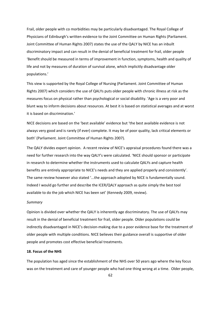Frail, older people with co morbidities may be particularly disadvantaged. The Royal College of Physicians of Edinburgh's written evidence to the Joint Committee on Human Rights (Parliament. Joint Committee of Human Rights 2007) states the use of the QALY by NICE has an inbuilt discriminatory impact and can result in the denial of beneficial treatment for frail, older people 'Benefit should be measured in terms of improvement in function, symptoms, health and quality of life and not by measures of duration of survival alone, which implicitly disadvantage older populations.'

This view is supported by the Royal College of Nursing (Parliament. Joint Committee of Human Rights 2007) which considers the use of QALYs puts older people with chronic illness at risk as the measures focus on physical rather than psychological or social disability. 'Age is a very poor and blunt way to inform decisions about resources. At best it is based on statistical averages and at worst it is based on discrimination.'

NICE decisions are based on the 'best available' evidence but 'the best available evidence is not always very good and is rarely (if ever) complete. It may be of poor quality, lack critical elements or both' (Parliament. Joint Committee of Human Rights 2007).

The QALY divides expert opinion. A recent review of NICE's appraisal procedures found there was a need for further research into the way QALY's were calculated. 'NICE should sponsor or participate in research to determine whether the instruments used to calculate QALYs and capture health benefits are entirely appropriate to NICE's needs and they are applied properly and consistently'. The same review however also stated '...the approach adopted by NICE is fundamentally sound. Indeed I would go further and describe the ICER/QALY approach as quite simply the best tool available to do the job which NICE has been set' (Kennedy 2009, review).

## *Summary*

Opinion is divided over whether the QALY is inherently age discriminatory. The use of QALYs may result in the denial of beneficial treatment for frail, older people. Older populations could be indirectly disadvantaged in NICE's decision‐making due to a poor evidence base for the treatment of older people with multiple conditions. NICE believes their guidance overall is supportive of older people and promotes cost effective beneficial treatments.

## **18. Focus of the NHS**

The population has aged since the establishment of the NHS over 50 years ago where the key focus was on the treatment and care of younger people who had one thing wrong at a time. Older people,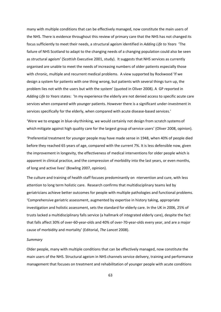many with multiple conditions that can be effectively managed, now constitute the main users of the NHS. There is evidence throughout this review of primary care that the NHS has not changed its focus sufficiently to meet their needs, a structural ageism identified in *Adding Life to Years* 'The failure of NHS Scotland to adapt to the changing needs of a changing population could also be seen as structural ageism' (Scottish Executive 2001, study). It suggests that NHS services as currently organised are unable to meet the needs of increasing numbers of older patients especially those with chronic, multiple and recurrent medical problems. A view supported by Rockwood 'If we design a system for patients with one thing wrong, but patients with several things turn up, the problem lies not with the users but with the system' (quoted in Oliver 2008). A GP reported in *Adding Life to Years* states: 'In my experience the elderly are not denied access to specific acute care services when compared with younger patients. However there is a significant under‐investment in services specifically for the elderly, when compared with acute disease-based services.'

'Were we to engage in blue‐sky thinking, we would certainly not design from scratch systems of which mitigate against high quality care for the largest group of service users' (Oliver 2008, opinion).

'Preferential treatment for younger people may have made sense in 1948, when 40% of people died before they reached 65 years of age, compared with the current 7%. It is less defensible now, given the improvement in longevity, the effectiveness of medical interventions for older people which is apparent in clinical practice, and the compression of morbidity into the last years, or even months, of long and active lives' (Bowling 2007, opinion).

The culture and training of health staff focuses predominantly on ntervention and cure, with less attention to long term holistic care. Research confirms that multidisciplinary teams led by geriatricians achieve better outcomes for people with multiple pathologies and functional problems. 'Comprehensive geriatric assessment, augmented by expertise in history taking, appropriate investigation and holistic assessment, sets the standard for elderly care. In the UK in 2006, 25% of trusts lacked a multidisciplinary falls service (a hallmark of integrated elderly care), despite the fact that falls affect 30% of over‐60‐year‐olds and 40% of over‐70‐year‐olds every year, and are a major cause of morbidity and mortality' (Editorial, *The Lancet* 2008).

#### *Summary*

Older people, many with multiple conditions that can be effectively managed, now constitute the main users of the NHS. Structural ageism in NHS channels service delivery, training and performance management that focuses on treatment and rehabilitation of younger people with acute conditions

63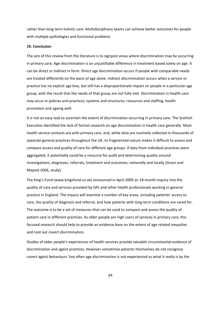rather than long term holistic care. Multidisciplinary teams can achieve better outcomes for people with multiple pathologies and functional problems

# **19. Conclusion**

The aim of this review from the literature is to signpost areas where discrimination may be occurring in primary care. Age discrimination is an unjustifiable difference in treatment based solely on age. It can be direct or indirect in form. Direct age discrimination occurs if people with comparable needs are treated differently on the basis of age alone. Indirect discrimination occurs when a service or practice has no explicit age bias, but still has a disproportionate impact on people in a particular age group, with the result that the needs of that group are not fully met. Discrimination in health care may occur in policies and practices; systems and structures; resources and staffing; health promotion and ageing well.

It is not an easy task to ascertain the extent of discrimination occurring in primary care. The Scottish Executive identified the lack of formal research on age discrimination in health care generally. Most health service contacts are with primary care, and, while data are routinely collected in thousands of separate general practices throughout the UK, its fragmented nature makes it difficult to assess and compare access and quality of care for different age groups. If data from individual practices were aggregated, it potentially could be a resource for audit and determining quality around investigations, diagnoses, referrals, treatment and outcomes, nationally and locally (Gnani and Majeed 2006, study).

The King's Fund (www.kingsfund.co.uk) announced in April 2009 an 18‐month inquiry into the quality of care and services provided by GPs and other health professionals working in general practice in England. The inquiry will examine a number of key areas, including patients' access to care, the quality of diagnosis and referral, and how patients with long‐term conditions are cared for. The outcome is to be a set of measures that can be used to compare and assess the quality of patient care in different practices. As older people are high users of services in primary care, this focused research should help to provide an evidence base on the extent of age related inequities and root out covert discrimination.

Studies of older people's experiences of health services provide valuable circumstantial evidence of discrimination and ageist practices. However sometimes patients themselves do not recognise covert ageist behaviours 'too often age discrimination is not experienced as what it really is by the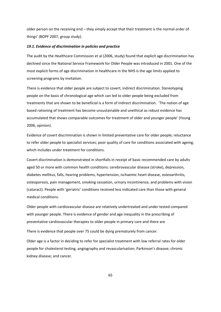older person on the receiving end – they simply accept that their treatment is the normal order of things' (BOPF 2007, group study).

## *19.1. Evidence of discrimination in policies and practice*

The audit by the Healthcare Commission et al (2006, study) found that explicit age discrimination has declined since the National Service Framework for Older People was introduced in 2001. One of the most explicit forms of age discrimination in healthcare in the NHS is the age limits applied to screening programs by invitation.

There is evidence that older people are subject to covert, indirect discrimination. Stereotyping people on the basis of chronological age which can led to older people being excluded from treatments that are shown to be beneficial is a form of indirect discrimination. 'The notion of age based rationing of treatment has become unsustainable and unethical as robust evidence has accumulated that shows comparable outcomes for treatment of older and younger people' (Young 2006, opinion).

Evidence of covert discrimination is shown in limited preventative care for older people; reluctance to refer older people to specialist services; poor quality of care for conditions associated with ageing, which includes under treatment for conditions.

Covert discrimination is demonstrated in shortfalls in receipt of basic recommended care by adults aged 50 or more with common health conditions: cerebrovascular disease (stroke), depression, diabetes mellitus, falls, hearing problems, hypertension, ischaemic heart disease, osteoarthritis, osteoporosis, pain management, smoking cessation, urinary incontinence, and problems with vision (cataract). People with 'geriatric' conditions received less indicated care than those with general medical conditions.

Older people with cardiovascular disease are relatively undertreated and under tested compared with younger people. There is evidence of gender and age inequality in the prescribing of preventative cardiovascular therapies to older people in primary care and there are

There is evidence that people over 75 could be dying prematurely from cancer.

Older age is a factor in deciding to refer for specialist treatment with low referral rates for older people for cholesterol testing, angiography and revascularisation; Parkinson's disease; chronic kidney disease; and cancer.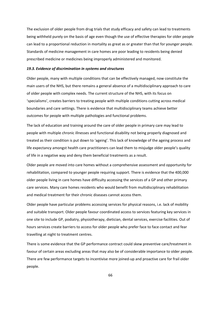The exclusion of older people from drug trials that study efficacy and safety can lead to treatments being withheld purely on the basis of age even though the use of effective therapies for older people can lead to a proportional reduction in mortality as great as or greater than that for younger people. Standards of medicine management in care homes are poor leading to residents being denied prescribed medicine or medicines being improperly administered and monitored.

## *19.3. Evidence of discrimination in systems and structures*

Older people, many with multiple conditions that can be effectively managed, now constitute the main users of the NHS, but there remains a general absence of a multidisciplinary approach to care of older people with complex needs. The current structure of the NHS, with its focus on 'specialisms', creates barriers to treating people with multiple conditions cutting across medical boundaries and care settings. There is evidence that multidisciplinary teams achieve better outcomes for people with multiple pathologies and functional problems.

The lack of education and training around the care of older people in primary care may lead to people with multiple chronic illnesses and functional disability not being properly diagnosed and treated as their condition is put down to 'ageing'. This lack of knowledge of the ageing process and life expectancy amongst health care practitioners can lead them to misjudge older people's quality of life in a negative way and deny them beneficial treatments as a result.

Older people are moved into care homes without a comprehensive assessment and opportunity for rehabilitation, compared to younger people requiring support. There is evidence that the 400,000 older people living in care homes have difficulty accessing the services of a GP and other primary care services. Many care homes residents who would benefit from multidisciplinary rehabilitation and medical treatment for their chronic diseases cannot access them.

Older people have particular problems accessing services for physical reasons, i.e. lack of mobility and suitable transport. Older people favour coordinated access to services featuring key services in one site to include GP, podiatry, physiotherapy, dietician, dental services, exercise facilities. Out of hours services create barriers to access for older people who prefer face to face contact and fear travelling at night to treatment centres.

There is some evidence that the GP performance contract could skew preventive care/treatment in favour of certain areas excluding areas that may also be of considerable importance to older people. There are few performance targets to incentivise more joined-up and proactive care for frail older people.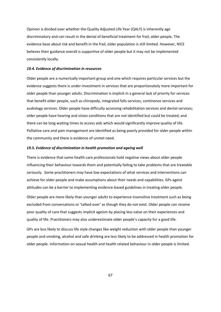Opinion is divided over whether the Quality Adjusted Life Year (QALY) is inherently age discriminatory and can result in the denial of beneficial treatment for frail, older people. The evidence base about risk and benefit in the frail, older population is still limited. However, NICE believes their guidance overall is supportive of older people but it may not be implemented consistently locally.

## *19.4. Evidence of discrimination in resources*

Older people are a numerically important group and one which requires particular services but the evidence suggests there is under‐investment in services that are proportionately more important for older people than younger adults. Discrimination is implicit in a general lack of priority for services that benefit older people, such as chiropody, integrated falls services, continence services and audiology services. Older people have difficulty accessing rehabilitation services and dental services; older people have hearing and vision conditions that are not identified but could be treated; and there can be long waiting times to access aids which would significantly improve quality of life. Palliative care and pain management are identified as being poorly provided for older people within the community and there is evidence of unmet need.

## *19.5. Evidence of discrimination in health promotion and ageing well*

There is evidence that some health care professionals hold negative views about older people influencing their behaviour towards them and potentially failing to take problems that are treatable seriously. Some practitioners may have low expectations of what services and interventions can achieve for older people and make assumptions about their needs and capabilities. GPs ageist attitudes can be a barrier to implementing evidence‐based guidelines in treating older people.

Older people are more likely than younger adults to experience insensitive treatment such as being excluded from conversations or 'talked over' as though they do not exist. Older people can receive poor quality of care that suggests implicit ageism by placing less value on their experiences and quality of life. Practitioners may also underestimate older people's capacity for a good life.

GPs are less likely to discuss life style changes like weight reduction with older people than younger people and smoking, alcohol and safe drinking are less likely to be addressed in health promotion for older people. Information on sexual health and health related behaviour in older people is limited.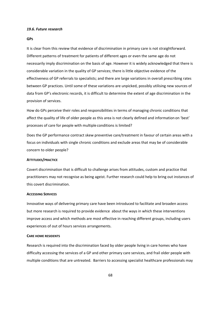#### *19.6. Future research*

#### **GPS**

It is clear from this review that evidence of discrimination in primary care is not straightforward. Different patterns of treatment for patients of different ages or even the same age do not necessarily imply discrimination on the basis of age. However it is widely acknowledged that there is considerable variation in the quality of GP services; there is little objective evidence of the effectiveness of GP referrals to specialists; and there are large variations in overall prescribing rates between GP practices. Until some of these variations are unpicked, possibly utilising new sources of data from GP's electronic records, it is difficult to determine the extent of age discrimination in the provision of services.

How do GPs perceive their roles and responsibilities in terms of managing chronic conditions that affect the quality of life of older people as this area is not clearly defined and information on 'best' processes of care for people with multiple conditions is limited?

Does the GP performance contract skew preventive care/treatment in favour of certain areas with a focus on individuals with single chronic conditions and exclude areas that may be of considerable concern to older people?

## **ATTITUDES/PRACTICE**

Covert discrimination that is difficult to challenge arises from attitudes, custom and practice that practitioners may not recognise as being ageist. Further research could help to bring out instances of this covert discrimination.

## **ACCESSING SERVICES**

Innovative ways of delivering primary care have been introduced to facilitate and broaden access but more research is required to provide evidence about the ways in which these interventions improve access and which methods are most effective in reaching different groups, including users experiences of out of hours services arrangements.

#### **CARE HOME RESIDENTS**

Research is required into the discrimination faced by older people living in care homes who have difficulty accessing the services of a GP and other primary care services, and frail older people with multiple conditions that are untreated. Barriers to accessing specialist healthcare professionals may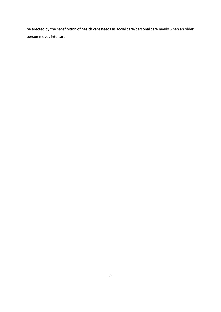be erected by the redefinition of health care needs as social care/personal care needs when an older person moves into care.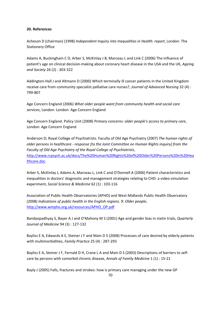# **20. References**

Acheson D (chairman) (1998) *Independent Inquiry into Inequalities in Health: report*, London: The Stationery Office

Adams A, Buckingham C D, Arber S, McKinlay J B, Marceau L and Link C (2006) The influence of patient's age on clinical decision‐making about coronary heart disease in the USA and the UK, *Ageing and Society* 26 (2) : 303‐322

Addington‐Hall J and Altmann D (2000) Which terminally ill cancer patients in the United Kingdom receive care from community specialist palliative care nurses?, *Journal of Advanced Nursing* 32 (4) : 799‐807

Age Concern England (2006) *What older people want from community health and social care services*, London: London: Age Concern England

Age Concern England. Policy Unit (2008) *Primary concerns: older people's access to primary care*, London: Age Concern England

Anderson D; Royal College of Psychiatrists. Faculty of Old Age Psychiatry (2007) *The human rights of older persons in healthcare ‐ response [to the Joint Committee on Human Rights inquiry] from the Faculty of Old Age Psychiatry of the Royal College of Psychiatrists*, http://www.rcpsych.ac.uk/docs/The%20Human%20Rights%20of%20Older%20Persons%20in%20Hea lthcare.doc

Arber S, McKinlay J, Adams A, Marceau L, Link C and O'Donnell A (2006) Patient characteristics and inequalities in doctors' diagnostic and management strategies relating to CHD: a video-simulation experiment, *Social Science & Medicine* 62 (1) : 103‐116

Association of Public Health Observatories (APHO) and West Midlands Public Health Observatory (2008) *Indications of public health in the English regions. 9: Older people*, http://www.wmpho.org.uk/resources/APHO\_OP.pdf

Bandyopadhyay S, Bayer A J and O'Mahony M S (2001) Age and gender bias in statin trials, *Quarterly Journal of Medicine* 94 (3) : 127‐132

Bayliss E A, Edwards A E, Steiner J F and Main D S (2008) Processes of care desired by elderly patients with multimorbidities, *Family Practice* 25 (4) : 287‐293

Bayliss E A, Steiner J F, Fernald D H, Crane L A and Main D S (2003) Descriptions of barriers to self‐ care by persons with comorbid chronic disease, *Annals of Family Medicine* 1 (1) : 15‐21

Bayly J (2005) Falls, fractures and strokes: how is primary care managing under the new GP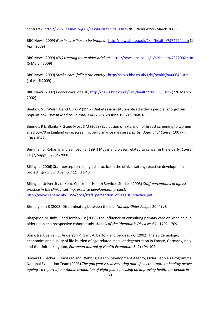contract?, http://www.bgsnet.org.uk/May06NL/13\_falls.htm *BGS Newsletter* (March 2005)

BBC News (2009) *Gap in care 'has to be bridged'*, http://news.bbc.co.uk/1/hi/health/7974994.stm (1 April 2009)

BBC News (2009) *NHS treating more older drinkers*, http://news.bbc.co.uk/1/hi/health/7922002.stm (5 March 2009)

BBC News (2009) *Stroke care 'failing the elderly'*, http://news.bbc.co.uk/1/hi/health/8000642.stm (16 April 2009)

BBC News (2002) *Cancer care 'ageist'*, http://news.bbc.co.uk/1/hi/health/1883505.stm (220 March 2002)

Benbow S J, Walsh A and Gill G V (1997) Diabetes in institutionalised elderly people: a forgotten population?, *British Medical Journal* 314 (7698, 28 June 1997) : 1868‐1869

Bennett R L, Blanks R G and Moss S M (2009) Evaluation of extension of breast screening to women aged 65–70 in England using screening performance measures, *British Journal of Cancer* 100 (7) : 1043‐1047

Berkman B, Rohan B and Sampson S (1994) Myths and biases related to cancer in the elderly, *Cancer* 74 (7, Suppl) : 2004‐2008

Billings J (2006) Staff perceptions of ageist practice in the clinical setting: practice development project, *Quality in Ageing* 7 (2) : 33‐45

Billings J; University of Kent. Centre for Health Services Studies (2003) *Staff perceptions of ageist practice in the clinical setting: practice development project*, http://www.kent.ac.uk/CHSS/docs/staff\_perception\_of\_ageist\_practice.pdf

Birmingham K (2008) Discriminating between the old, *Nursing Older People* 20 (4) : 3

Blagojevic M, Jinks C and Jordan K P (2008) The influence of consulting primary care on knee pain in older people: a prospective cohort study, *Annals of the Rheumatic Diseases* 67 : 1702‐1709

Bonastre J, Le Pen C, Anderson P, Ganz A, Berto P and Berdeaux G (2002) The epidemiology, economics and quality of life burden of age-related macular degeneration in France, Germany, Italy and the United Kingdom, *European Journal of Health Economics* 3 (2) : 94‐102

Bowers H, Secker J, Llanes M and Webb D; Health Development Agency; Older People's Programme. National Evaluation Team (2003) *The gap years: rediscovering mid‐life as the route to healthy active* ageing - a report of a national evaluation of eight pilots focusing on improving health for people in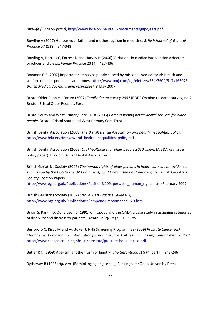*mid‐life (50 to 65 years)*, http://www.hda‐online.org.uk/documents/gap‐years.pdf

Bowling A (2007) Honour your father and mother: ageism in medicine, *British Journal of General Practice* 57 (538) : 347‐348

Bowling A, Harries C, Forrest D and Harvey N (2006) Variations in cardiac interventions: doctors' practices and views, *Family Practice* 23 (4) : 427‐436

Bowman C E (2007) Important campaigns poorly served by misconceived editorial: Health and welfare of older people in care homes, http://www.bmj.com/cgi/eletters/334/7600/913#165075 *British Medical Journal (rapid responses)* (8 May 2007)

Bristol Older People's Forum (2007) *Family doctor survey 2007* (BOPF Opinion research survey, no 7), Bristol: Bristol Older People's Forum

Bristol South and West Primary Care Trust (2006) *Commissioning better dental services for older people*, Bristol: Bristol South and West Primary Care Trust

British Dental Association (2009) *The British Dental Association oral health inequalities policy*, http://www.bda.org/Images/oral\_health\_inequalities\_policy.pdf

British Dental Association (2003) *Oral healthcare for older people 2020 vision.* (A BDA Key issue policy paper), London: British Dental Association

British Geriatrics Society (2007) *The human rights of older persons in healthcare call for evidence: submission by the BGS to the UK Parliament, Joint Committee on Human Rights* (British Geriatrics Society Position Paper),

http://www.bgs.org.uk/Publications/Position%20Papers/psn\_human\_rights.htm (February 2007)

British Geriatrics Society (2007) *Stroke: Best Practice Guide 6.3*, http://www.bgs.org.uk/Publications/Compendium/compend\_6.3.htm

Bryan S, Parkin D, Donaldson C (1991) Chiropody and the QALY: a case study in assigning categories of disability and distress to patients, *Health Policy* 18 (2) : 169‐185

Burford D C, Kirby M and Austoker J; NHS Screening Programmes (2009) *Prostate Cancer Risk Management Programme; information for primary care: PSA testing in asymptomatic men. 2nd ed*, http://www.cancerscreening.nhs.uk/prostate/prostate‐booklet‐text.pdf

Butler R N (1969) Age‐ism: another form of bigotry, *The Gerontologist* 9 (4, part I) : 243‐246

Bytheway B (1995) *Ageism.* (Rethinking ageing series), Buckingham: Open University Press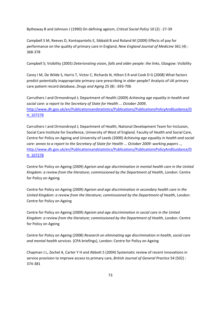Bytheway B and Johnson J (1990) On defining ageism, *Critical Social Policy* 10 (2) : 27‐39

Campbell S M, Reeves D, Kontopantelis E, Sibbald B and Roland M (2009) Effects of pay for performance on the quality of primary care in England, *New England Journal of Medicine* 361 (4) : 368‐378

Campbell S; Visibility (2005) *Deteriorating vision, falls and older people: the links*, Glasgow: Visibility

Carey I M, De Wilde S, Harris T, Victor C, Richards N, Hilton S R and Cook D G (2008) What factors predict potentially inappropriate primary care prescribing in older people? Analysis of UK primary care patient record database, *Drugs and Aging* 25 (8) : 693‐706

Carruthers I and Ormondroyd J; Department of Health (2009) *Achieving age equality in health and social care: a report to the Secretary of State for Health ... October 2009*, http://www.dh.gov.uk/en/Publicationsandstatistics/Publications/PublicationsPolicyAndGuidance/D H\_107278

Carruthers I and Ormondroyd J; Department of Health, National Development Team for Inclusion, Social Care Institute for Excellence, University of West of England. Faculty of Health and Social Care, Centre for Policy on Ageing and University of Leeds (2009) *Achieving age equality in health and social care: annex to a report to the Secretary of State for Health ... October 2009: working papers ..*, http://www.dh.gov.uk/en/Publicationsandstatistics/Publications/PublicationsPolicyAndGuidance/D H\_107278

Centre for Policy on Ageing (2009) *Ageism and age discrimination in mental health care in the United Kingdom: a review from the literature; commissioned by the Department of Health*, London: Centre for Policy on Ageing

Centre for Policy on Ageing (2009) *Ageism and age discrimination in secondary health care in the United Kingdom: a review from the literature; commissioned by the Department of Health*, London: Centre for Policy on Ageing

Centre for Policy on Ageing (2009) *Ageism and age discrimination in social care in the United Kingdom: a review from the literature; commissioned by the Department of Health*, London: Centre for Policy on Ageing

Centre for Policy on Ageing (2008) *Research on eliminating age discrimination in health, social care and mental health services.* (CPA briefings), London: Centre for Policy on Ageing

Chapman J L, Zechel A, Carter Y H and Abbott S (2004) Systematic review of recent innovations in service provision to improve access to primary care, *British Journal of General Practice* 54 (502) : 374‐381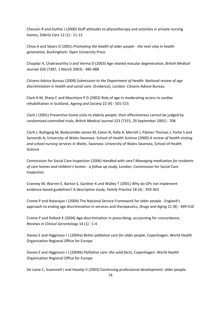Chesson R and Duthie J (2000) Staff attitudes to physiotherapy and activities in private nursing homes, *Elderly Care* 12 (1) : 11‐13

Chiva A and Stears D (2001) *Promoting the health of older people ‐ the next step in health generation*, Buckingham: Open University Press

Chopdar A, Chakravarthy U and Verma D (2003) Age related macular degeneration, *British Medical Journal* 326 (7387, 1 March 2003) : 485‐488

Citizens Advice Bureau (2009) *Submission to the Department of Health: National review of age discrimination in health and social care.* (Evidence), London: Citizens Advice Bureau

Clark A M, Sharp C and Macintyre P D (2002) Role of age in moderating access to cardiac rehabilitation in Scotland, *Ageing and Society* 22 (4) : 501‐515

Clark J (2001) Preventive home visits to elderly people: their effectiveness cannot be judged by randomised controlled trials, *British Medical Journal* 323 (7315, 29 September 2001) : 708

Clark J, Buttigeig M, Bodycombe‐James M, Eaton N, Kelly A, Merrell J, Palmer‐Thomas J, Parke S and Symonds A; University of Wales Swansea. School of Health Science (2000) *A review of health visiting and school nursing services in Wales*, Swansea: University of Wales Swansea, School of Health Science

Commission for Social Care Inspection (2006) *Handled with care? Managing medication for residents of care homes and children's homes ‐ a follow up study*, London: Commission for Social Care Inspection

Cranney M, Warren E, Barton S, Gardner K and Walley T (2001) Why do GPs not implement evidence‐based guidelines? A descriptive study, *Family Practice* 18 (4) : 359‐363

Crome P and Natarajan I (2004) The National Service Framework for older people ‐ England's approach to ending age discrimination in services and therapeutics, *Drugs and Aging* 21 (8) : 499‐510

Crome P and Pollock K (2004) Age‐discrimination in prescribing: accounting for concordance, *Reviews in Clinical Gerontology* 14 (1) : 1‐4

Davies E and Higginson I J (2004a) *Better palliative care for older people*, Copenhagen: World Health Organization Regional Office for Europe

Davies E and Higginson I J (2004b) *Palliative care: the solid facts*, Copenhagen: World Health Organization Regional Office for Europe

De Laine C, Scammell J and Heaslip V (2003) Continuing professional development: older people.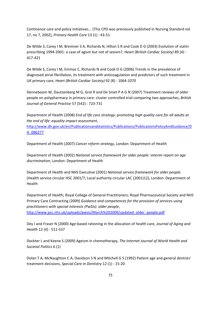Continence care and policy initiatives... [This CPD was previously published in Nursing Standard vol 17, no 7, 2002], *Primary Health Care* 13 (1) : 43‐51

De Wilde S, Carey I M, Bremner S A, Richards N, Hilton S R and Cook D G (2003) Evolution of statin prescribing 1994‐2001: a case of agism but not of sexism?, *Heart (British Cardiac Society)* 89 (4) : 417‐421

De Wilde S, Carey I M, Emmas C, Richards N and Cook D G (2006) Trends in the prevalence of diagnosed atrial fibrillation, its treatment with anticoagulation and predictors of such treatment in UK primary care, *Heart (British Cardiac Society)* 92 (8) : 1064‐1070

Denneboom W, Dautzenberg M G, Grol R and De Smet P A G N (2007) Treatment reviews of older people on polypharmacy in primary care: cluster controlled trial comparing two approaches, *British Journal of General Practice* 57 (542) : 723‐731

Department of Health (2008) *End of life care strategy: promoting high quality care for all adults at the end of life: equality impact assessment*,

http://www.dh.gov.uk/en/Publicationsandstatistics/Publications/PublicationsPolicyAndGuidance/D H\_086277

Department of Health (2007) *Cancer reform strategy*, London: Department of Health

Department of Health (2002) *National service framework for older people: interim report on age discrimination*, London: Department of Health

Department of Health and NHS Executive (2001) *National service framework for older people.* (Health service circular HSC 2001/7; Local authority circular LAC (2001)12), London: Department of Health

Department of Health; Royal College of General Practitioners; Royal Pharmaceutical Society and NHS Primary Care Contracting (2009) *Guidance and competences for the provision of services using practitioners with special interests (PwSIs): older people*, http://www.pcc.nhs.uk/uploads/pwsis/March%202009/updated\_older\_people.pdf

Dey I and Fraser N (2000) Age‐based rationing in the allocation of health care, *Journal of Aging and Health* 12 (4) : 511‐537

Dockter L and Keene S (2009) Ageism in chemotherapy, *The Internet Journal of World Health and Societal Politics* 6 (1)

Dolan T A, McNaughton C A, Davidson S N and Mitchell G S (1992) Patient age and general dentists' treatment decisions, *Special Care in Dentistry* 12 (1) : 15‐20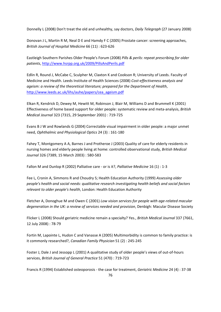Donnelly L (2008) Don't treat the old and unhealthy, say doctors, *Daily Telegraph* (27 January 2008)

Donovan J L, Martin R M, Neal D E and Hamdy F C (2005) Prostate cancer: screening approaches, *British Journal of Hospital Medicine* 66 (11) : 623‐626

Eastleigh Southern Parishes Older People's Forum (2008) *Pills & perils: repeat prescribing for older patients*, http://www.hsrpp.org.uk/2009/PillsAndPerils.pdf

Edlin R, Round J, McCabe C, Sculpher M, Claxton K and Cookson R; University of Leeds. Faculty of Medicine and Health. Leeds Institute of Health Sciences (2008) *Cost‐effectiveness analysis and ageism: a review of the theoretical literature; prepared for the Department of Health*, http://www.leeds.ac.uk/lihs/auhe/papers/cea\_ageism.pdf

Elkan R, Kendrick D, Dewey M, Hewitt M, Robinson J, Blair M, Williams D and Brummell K (2001) Effectiveness of home based support for older people: systematic review and meta‐analysis, *British Medical Journal* 323 (7315, 29 September 2001) : 719‐725

Evans B J W and Rowlands G (2004) Correctable visual impairment in older people: a major unmet need, *Ophthalmic and Physiological Optics* 24 (3) : 161‐180

Fahey T, Montgomery A A, Barnes J and Protheroe J (2003) Quality of care for elderly residents in nursing homes and elderly people living at home: controlled observational study, *British Medical Journal* 326 (7389, 15 March 2003) : 580‐583

Fallon M and Dunlop R (2002) Palliative care ‐ or is it?, *Palliative Medicine* 16 (1) : 1‐3

Fee L, Cronin A, Simmons R and Choudry S; Health Education Authority (1999) *Assessing older people's health and social needs: qualitative research investigating health beliefs and social factors relevant to older people's health*, London: Health Education Authority

Fletcher A, Donoghue M and Owen C (2001) *Low vision services for people with age‐related macular degeneration in the UK: a review of services needed and provision*, Denbigh: Macular Disease Society

Flicker L (2008) Should geriatric medicine remain a specialty? Yes., *British Medical Journal* 337 (7661, 12 July 2008) : 78‐79

Fortin M, Lapointe L, Hudon C and Vanasse A (2005) Multimorbidity is common to family practice: is it commonly researched?, *Canadian Family Physician* 51 (2) : 245‐245

Foster J, Dale J and Jessopp L (2001) A qualitative study of older people's views of out‐of‐hours services, *British Journal of General Practice* 51 (470) : 719‐723

Francis R (1994) Established osteoporosis ‐ the case for treatment, *Geriatric Medicine* 24 (4) : 37‐38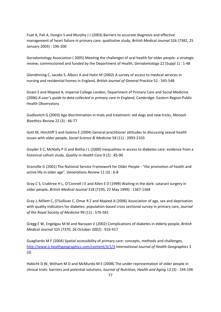Fuat A, Pali A, Hungin S and Murphy J J (2003) Barriers to accurate diagnosis and effective management of heart failure in primary care: qualitative study, *British Medical Journal* 326 (7382, 25 January 2003) : 196‐200

Gerodontology Association ( 2005) Meeting the challenges of oral health for older people: a strategic review; commissioned and funded by the Department of Health, *Gerodontology* 22 (Suppl 1) : 1‐48

Glendinning C, Jacobs S, Alborz A and Hahn M (2002) A survey of access to medical services in nursing and residential homes in England, *British Journal of General Practice* 52 : 545‐548

Gnani S and Majeed A; Imperial College London, Department of Primary Care and Social Medicine (2006) *A user's guide to data collected in primary care in England*, Cambridge: Eastern Region Public Health Observatory

Godlovitch G (2003) Age discrimination in trials and treatment: old dogs and new tricks, *Monash Bioethics Review* 22 (3) : 66‐77

Gott M, Hinchliff S and Galena E (2004) General practitioner attitudes to discussing sexual health issues with older people, *Social Science & Medicine* 58 (11) : 2093‐2103

Goyder E C, McNally P G and Botha J L (2000) Inequalities in access to diabetes care: evidence from a historical cohort study, *Quality in Health Care* 9 (2) : 85‐90

Granville G (2001) The National Service Framework for Older People ‐ "the promotion of health and active life in older age", *Generations Review* 11 (3) : 6‐8

Gray C S, Crabtree H L, O'Connell J E and Allen E D (1999) Waiting in the dark: cataract surgery in older people, *British Medical Journal* 318 (7195, 22 May 1999) : 1367‐1368

Gray J, Millett C, O'Sullivan C, Omar R Z and Majeed A (2006) Association of age, sex and deprivation with quality indicators for diabetes: population‐based cross sectional survey in primary care, *Journal of the Royal Society of Medicine* 99 (11) : 576‐581

Gregg E W, Engelgau M M and Narayan V (2002) Complications of diabetes in elderly people, *British Medical Journal* 325 (7370, 26 October 2002) : 916‐917

Guagliardo M F (2004) Spatial accessibility of primary care: concepts, methods and challenges, http://www.ij‐healthgeographics.com/content/3/1/3 *International Journal of Health Geographics* 3 (3)

Habicht D W, Witham M D and McMurdo M E (2008) The under‐representation of older people in clinical trials: barriers and potential solutions, *Journal of Nutrition, Health and Aging* 12 (3) : 194‐196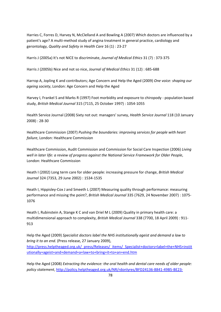Harries C, Forres D, Harvey N, McClelland A and Bowling A (2007) Which doctors are influenced by a patient's age? A multi-method study of angina treatment in general practice, cardiology and gerontology, *Quality and Safety in Health Care* 16 (1) : 23‐27

Harris J (2005a) It's not NICE to discriminate, *Journal of Medical Ethics* 31 (7) : 373‐375

Harris J (2005b) Nice and not so nice, *Journal of Medical Ethics* 31 (12) : 685‐688

Harrop A, Jopling K and contributors; Age Concern and Help the Aged (2009) *One voice: shaping our ageing society*, London: Age Concern and Help the Aged

Harvey I, Frankel S and Marks R (1997) Foot morbidity and exposure to chiropody ‐ population based study, *British Medical Journal* 315 (7115, 25 October 1997) : 1054‐1055

Health Service Journal (2008) Sixty not out: managers' survey, *Health Service Journal* 118 (10 January 2008) : 28‐30

Healthcare Commission (2007) *Pushing the boundaries: improving services for people with heart failure*, London: Healthcare Commission

Healthcare Commission, Audit Commission and Commission for Social Care Inspection (2006) *Living well in later life: a review of progress against the National Service Framework for Older People*, London: Healthcare Commission

Heath I (2002) Long term care for older people: increasing pressure for change, *British Medical Journal* 324 (7353, 29 June 2002) : 1534‐1535

Heath I, Hippisley‐Cox J and Smeeth L (2007) Measuring quality through performance: measuring performance and missing the point?, *British Medical Journal* 335 (7629, 24 November 2007) : 1075‐ 1076

Heath I, Rubinstein A, Stange K C and van Driel M L (2009) Quality in primary health care: a multidimensional approach to complexity, *British Medical Journal* 338 (7700, 18 April 2009) : 911‐ 913

Help the Aged (2009) *Specialist doctors label the NHS institutionally ageist and demand a law to bring it to an end.* (Press release, 27 January 2009), http://press.helptheaged.org.uk/\_press/Releases/\_items/\_Specialist+doctors+label+the+NHS+instit

utionally+ageist+and+demand+a+law+to+bring+it+to+an+end.htm

Help the Aged (2008) *Extracting the evidence: the oral health and dental care needs of older people: policy statement*, http://policy.helptheaged.org.uk/NR/rdonlyres/BFD24136‐8841‐49B5‐BE23‐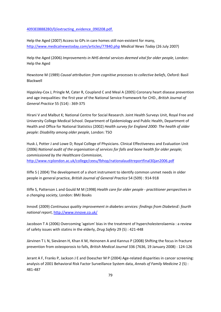4093E08882BD/0/extracting\_evidence\_090208.pdf.

Help the Aged (2007) Access to GPs in care homes still non‐existent for many, http://www.medicalnewstoday.com/articles/77840.php *Medical News Today* (26 July 2007)

Help the Aged (2006) *Improvements in NHS dental services deemed vital for older people*, London: Help the Aged

Hewstone M (1989) *Causal attribution: from cognitive processes to collective beliefs*, Oxford: Basil Blackwell

Hippisley‐Cox J, Pringle M, Cater R, Coupland C and Meal A (2005) Coronary heart disease prevention and age inequalities: the first year of the National Service Framework for CHD., *British Journal of General Practice* 55 (514) : 369‐375

Hirani V and Malbut K; National Centre for Social Research. Joint Health Surveys Unit, Royal Free and University College Medical School. Department of Epidemiology and Public Health, Department of Health and Office for National Statistics (2002) *Health survey for England 2000: The health of older people: Disability among older people*, London: TSO

Husk J, Potter J and Lowe D; Royal College of Physicians. Clinical Effectiveness and Evaluation Unit (2006) *National audit of the organisation of services for falls and bone health for older people; commissioned by the Healthcare Commission*, http://www.rcplondon.ac.uk/college/ceeu/fbhop/nationalauditreportfinal30jan2006.pdf

Iliffe S ( 2004) The development of a short instrument to identify common unmet needs in older people in general practice, *British Journal of General Practice* 54 (509) : 914‐918

Iliffe S, Patterson L and Gould M M (1998) *Health care for older people ‐ practitioner perspectives in a changing society*, London: BMJ Books

InnovE (2009) *Continuous quality improvement in diabetes services: findings from DiabetesE: fourth national report*, http://www.innove.co.uk/

Jacobson T A (2006) Overcoming 'ageism' bias in the treatment of hypercholesterolaemia : a review of safety issues with statins in the elderly, *Drug Safety* 29 (5) : 421‐448

Järvinen T L N, Sievänen H, Khan K M, Heinonen A and Kannus P (2008) Shifting the focus in fracture prevention from osteoporosis to falls, *British Medical Journal* 336 (7636, 19 January 2008) : 124‐126

Jerant A F, Franks P, Jackson J E and Doescher M P (2004) Age-related disparities in cancer screening: analysis of 2001 Behavioral Risk Factor Surveillance System data, *Annals of Family Medicine* 2 (5) : 481‐487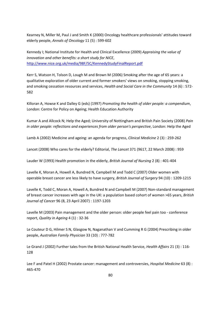Kearney N, Miller M, Paul J and Smith K (2000) Oncology healthcare professionals' attitudes toward elderly people, *Annals of Oncology* 11 (5) : 599‐602

Kennedy I; National Institute for Health and Clinical Excellence (2009) *Appraising the value of innovation and other benefits: a short study for NICE*, http://www.nice.org.uk/media/98F/5C/KennedyStudyFinalReport.pdf

Kerr S, Watson H, Tolson D, Lough M and Brown M (2006) Smoking after the age of 65 years: a qualitative exploration of older current and former smokers' views on smoking, stopping smoking, and smoking cessation resources and services, *Health and Social Care in the Community* 14 (6) : 572‐ 582

Killoran A, Howse K and Dalley G (eds) (1997) *Promoting the health of older people: a compendium*, London: Centre for Policy on Ageing; Health Education Authority

Kumar A and Allcock N; Help the Aged; University of Nottingham and British Pain Society (2008) *Pain in older people: reflections and experiences from older person's perspective*, London: Help the Aged

Lamb A (2002) Medicine and ageing: an agenda for progress, *Clinical Medicine* 2 (3) : 259‐262

Lancet (2008) Who cares for the elderly? Editorial, *The Lancet* 371 (9617, 22 March 2008) : 959

Lauder W (1993) Health promotion in the elderly, *British Journal of Nursing* 2 (8) : 401‐404

Lavelle K, Moran A, Howell A, Bundred N, Campbell M and Todd C (2007) Older women with operable breast cancer are less likely to have surgery, *British Journal of Surgery* 94 (10) : 1209‐1215

Lavelle K, Todd C, Moran A, Howell A, Bundred N and Campbell M (2007) Non-standard management of breast cancer increases with age in the UK: a population based cohort of women >65 years, *British Journal of Cancer* 96 (8, 23 April 2007) : 1197‐1203

Lavelle M (2003) Pain management and the older person: older people feel pain too - conference report, *Quality in Ageing* 4 (1) : 32‐36

Le Couteur D G, Hilmer S N, Glasgow N, Naganathan V and Cumming R G (2004) Prescribing in older people, *Australian Family Physician* 33 (10) : 777‐782

Le Grand J (2002) Further tales from the British National Health Service, *Health Affairs* 21 (3) : 116‐ 128

Lee F and Patel H (2002) Prostate cancer: management and controversies, *Hospital Medicine* 63 (8) : 465‐470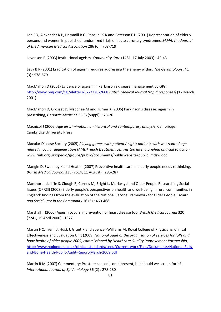Lee P Y, Alexander K P, Hammill B G, Pasquali S K and Peterson E D (2001) Representation of elderly persons and women in published randomized trials of acute coronary syndromes, *JAMA, the Journal of the American Medical Association* 286 (6) : 708‐719

Levenson R (2003) Institutional ageism, *Community Care* (1481, 17 July 2003) : 42‐43

Levy B R (2001) Eradication of ageism requires addressing the enemy within, *The Gerontologist* 41 (3) : 578‐579

MacMahon D (2001) Evidence of ageism in Parkinson's disease management by GPs, http://www.bmj.com/cgi/eletters/322/7287/668 *British Medical Journal (rapid responses)* (17 March 2001)

MacMahon D, Grosset D, Macphee M and Turner K (2006) Parkinson's disease: ageism in prescribing, *Geriatric Medicine* 36 (5 (Suppl)) : 23‐26

Macnicol J (2006) *Age discrimination: an historical and contemporary analysis*, Cambridge: Cambridge University Press

Macular Disease Society (2005) *Playing games with patients' sight: patients with wet related age‐ related macular degeneration (AMD) reach treatment centres too late: a briefing and call to action*, www.rnib.org.uk/xpedio/groups/public/documents/publicwebsite/public\_mdsw.doc

Mangin D, Sweeney K and Heath I (2007) Preventive health care in elderly people needs rethinking, *British Medical Journal* 335 (7614, 11 August) : 285‐287

Manthorpe J, Iliffe S, Clough R, Cornes M, Bright L, Moriarty J and Older People Researching Social Issues (OPRSI) (2008) Elderly people's perspectives on health and well-being in rural communities in England: findings from the evaluation of the National Service Framework for Older People, *Health and Social Care in the Community* 16 (5) : 460‐468

Marshall T (2000) Ageism occurs in prevention of heart disease too, *British Medical Journal* 320 (7241, 15 April 2000) : 1077

Martin F C, Treml J, Husk J, Grant R and Spencer‐Williams M; Royal College of Physicians. Clinical Effectiveness and Evaluation Unit (2009) *National audit of the organisation of services for falls and bone health of older people 2009; commissioned by Healthcare Quality Improvement Partnership*, http://www.rcplondon.ac.uk/clinical‐standards/ceeu/Current‐work/Falls/Documents/National‐Falls‐ and‐Bone‐Health‐Public‐Audit‐Report‐March‐2009.pdf

Martin R M (2007) Commentary: Prostate cancer is omnipresent, but should we screen for it?, *International Journal of Epidemiology* 36 (2) : 278‐280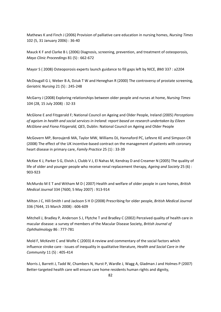Mathews K and Finch J (2006) Provision of palliative care education in nursing homes, *Nursing Times* 102 (5, 31 January 2006) : 36‐40

Mauck K F and Clarke B L (2006) Diagnosis, screening, prevention, and treatment of osteoporosis, *Mayo Clinic Proceedings* 81 (5) : 662‐672

Mayor S ( 2008) Osteoporosis experts launch guidance to fill gaps left by NICE, *BMJ* 337 : a2204

McDougall G J, Weber B A, Dziuk T W and Heneghan R (2000) The controversy of prostate screening, *Geriatric Nursing* 21 (5) : 245‐248

McGarry J (2008) Exploring relationships between older people and nurses at home, *Nursing Times* 104 (28, 15 July 2008) : 32‐33

McGlone E and Fitzgerald F; National Council on Ageing and Older People, Ireland (2005) *Perceptions of ageism in health and social services in Ireland: report based on research undertaken by Eileen McGlone and Fiona Fitzgerald, QE5*, Dublin: National Council on Ageing and Older People

McGovern MP, Boroujerdi MA, Taylor MW, Williams DJ, Hannaford PC, Lefevre KE amd Simpson CR (2008) The effect of the UK incentive‐based contract on the management of patients with coronary heart disease in primary care, *Family Practice* 25 (1) : 33‐39

McKee K J, Parker S G, Elvish J, Clubb V J, El Nahas M, Kendray D and Creamer N (2005) The quality of life of older and younger people who receive renal replacement therapy, *Ageing and Society* 25 (6) : 903‐923

McMurdo M E T and Witham M D ( 2007) Health and welfare of older people in care homes, *British Medical Journal* 334 (7600, 5 May 2007) : 913‐914

Milton J C, Hill‐Smith I and Jackson S H D (2008) Prescribing for older people, *British Medical Journal* 336 (7644, 15 March 2008) : 606‐609

Mitchell J, Bradley P, Anderson S J, Ffytche T and Bradley C (2002) Perceived quality of health care in macular disease: a survey of members of the Macular Disease Society, *British Journal of Ophthalmology* 86 : 777‐781

Mold F, McKevitt C and Wolfe C (2003) A review and commentary of the social factors which influence stroke care ‐ issues of inequality in qualitative literature, *Health and Social Care in the Community* 11 (5) : 405‐414

Morris J, Barrett J, Tadd W, Chambers N, Hurst P, Wardle J, Wagg A, Gladman J and Holmes P (2007) Better-targeted health care will ensure care home residents human rights and dignity,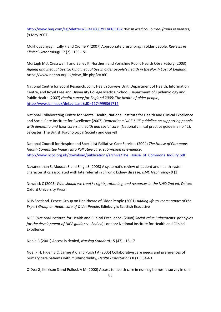http://www.bmj.com/cgi/eletters/334/7600/913#165182 *British Medical Journal (rapid responses)* (9 May 2007)

Mukhopadhyay I, Lally F and Crome P (2007) Appropriate prescribing in older people, *Reviews in Clinical Gerontology* 17 (2) : 139‐151

Murtagh M J, Cresswell T and Bailey K; Northern and Yorkshire Public Health Observatory (2003) *Ageing and inequalities:tackling inequalities in older people's health in the North East of England*, https://www.nepho.org.uk/view\_file.php?c=360

National Centre for Social Research. Joint Health Surveys Unit, Department of Health. Information Centre, and Royal Free and University College Medical School. Department of Epidemiology and Public Health (2007) *Health survey for England 2005: The health of older people*, http://www.ic.nhs.uk/default.asp?sID=1174999361712

National Collaborating Centre for Mental Health, National Institute for Health and Clinical Excellence and Social Care Institute for Excellence (2007) *Dementia: a NICE‐SCIE guideline on supporting people with dementia and their carers in health and social care.* (National clinical practice guideline no 42), Leicester: The British Psychological Society and Gaskell

National Council for Hospice and Specialist Palliative Care Services (2004) *The House of Commons Health Committee Inquiry into Palliative care: submission of evidence*, http://www.ncpc.org.uk/download/publications/archive/The\_House\_of\_Commons\_Inquiry.pdf

Navaneethan S, Aloudat S and Singh S (2008) A systematic review of patient and health system characteristics associated with late referral in chronic kidney disease, *BMC Nephrology* 9 (3)

Newdick C (2005) *Who should we treat? : rights, rationing, and resources in the NHS; 2nd ed*, Oxford: Oxford University Press

NHS Scotland. Expert Group on Healthcare of Older People (2001) *Adding life to years: report of the Expert Group on Healthcare of Older People*, Edinburgh: Scottish Executive

NICE (National Institute for Health and Clinical Excellence) (2008) *Social value judgements: principles for the development of NICE guidance. 2nd ed*, London: National Institute for Health and Clinical Excellence

Noble C (2001) Access is denied, *Nursing Standard* 15 (47) : 16‐17

Noel P H, Frueh B C, Larme A C and Pugh J A (2005) Collaborative care needs and preferences of primary care patients with multimorbidity, *Health Expectations* 8 (1) : 54‐63

O'Dea G, Kerrison S and Pollock A M (2000) Access to health care in nursing homes: a survey in one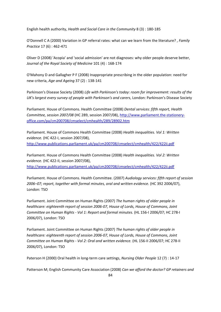English health authority, *Health and Social Care in the Community* 8 (3) : 180‐185

O'Donnell C A (2000) Variation in GP referral rates: what can we learn from the literature? , *Family Practice* 17 (6) : 462‐471

Oliver D (2008) 'Acopia' and 'social admission' are not diagnoses: why older people deserve better, *Journal of the Royal Society of Medicine* 101 (4) : 168‐174

O'Mahony D and Gallagher P F (2008) Inappropriate prescribing in the older population: need for new criteria, *Age and Ageing* 37 (2) : 138‐141

Parkinson's Disease Society (2008) *Life with Parkinson's today: room for improvement: results of the UK's largest every survey of people with Parkinson's and carers*, London: Parkinson's Disease Society

Parliament. House of Commons. Health Committee (2008) *Dental services: fifth report, Health Committee, session 2007/08* (HC 289, session 2007/08), http://www.parliament.the‐stationery‐ office.com/pa/cm200708/cmselect/cmhealth/289/28902.htm

Parliament. House of Commons Health Committee (2008) *Health inequalities. Vol 1: Written evidence.* (HC 422‐I, session 2007/08), http://www.publications.parliament.uk/pa/cm200708/cmselect/cmhealth/422/422ii.pdf

Parliament. House of Commons Health Committee (2008) *Health inequalities. Vol 2: Written evidence.* (HC 422‐II, session 2007/08), http://www.publications.parliament.uk/pa/cm200708/cmselect/cmhealth/422/422ii.pdf

Parliament. House of Commons. Health Committee. (2007) *Audiology services: fifth report of session 2006–07; report, together with formal minutes, oral and written evidence.* (HC 392 2006/07), London: TSO

Parliament. Joint Committee on Human Rights (2007) *The human rights of older people in healthcare: eighteenth report of session 2006‐07, House of Lords, House of Commons, Joint Committee on Human Rights ‐ Vol 1: Report and formal minutes.* (HL 156‐I 2006/07; HC 278‐I 2006/07), London: TSO

Parliament. Joint Committee on Human Rights (2007) *The human rights of older people in healthcare: eighteenth report of session 2006‐07, House of Lords, House of Commons, Joint Committee on Human Rights ‐ Vol 2: Oral and written evidence.* (HL 156‐II 2006/07; HC 278‐II 2006/07), London: TSO

Paterson H (2000) Oral health in long‐term care settings, *Nursing Older People* 12 (7) : 14‐17

Patterson M; English Community Care Association (2008) *Can we afford the doctor? GP retainers and*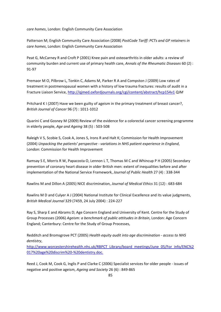*care homes*, London: English Community Care Association

Patterson M; English Community Care Association (2008) *PostCode Tariff: PCTs and GP retainers in care homes*, London: English Community Care Association

Peat G, McCarney R and Croft P (2001) Knee pain and osteoarthritis in older adults: a review of community burden and current use of primary health care, *Annals of the Rheumatic Diseases* 60 (2) : 91‐97

Premaor M O, Pilbrow L, Tonkin C, Adams M, Parker R A and Compston J (2009) Low rates of treatment in postmenopausal women with a history of low trauma fractures: results of audit in a Fracture Liaison Service, http://qjmed.oxfordjournals.org/cgi/content/abstract/hcp154v1 *QJM*

Pritchard K I (2007) Have we been guilty of ageism in the primary treatment of breast cancer?, *British Journal of Cancer* 96 (7) : 1011‐1012

Quarini C and Gosney M (2009) Review of the evidence for a colorectal cancer screening programme in elderly people, *Age and Ageing* 38 (5) : 503‐508

Raleigh V S, Scobie S, Cook A, Jones S, Irons R and Halt K; Commission for Health Improvement (2004) *Unpacking the patients' perspective ‐ variations in NHS patient experience in England*, London: Commission for Health Improvement

Ramsay S E, Morris R W, Papacosta O, Lennon L T, Thomas M C and Whincup P H (2005) Secondary prevention of coronary heart disease in older British men: extent of inequalities before and after implementation of the National Service Framework, *Journal of Public Health* 27 (4) : 338‐344

Rawlins M and Dillon A (2005) NICE discrimination, *Journal of Medical Ethics* 31 (12) : 683‐684

Rawlins M D and Culyer A J (2004) National Institute for Clinical Excellence and its value judgments, *British Medical Journal* 329 (7459, 24 July 2004) : 224‐227

Ray S, Sharp E and Abrams D; Age Concern England and University of Kent. Centre for the Study of Group Processes (2006) *Ageism: a benchmark of public attitudes in Britain*, London: Age Concern England; Canterbury: Centre for the Study of Group Processes,

Redditch and Bromsgrove PCT (2005) *Health equity audit into age discrimination ‐ access to NHS dentistry*,

http://www.worcestershirehealth.nhs.uk/RBPCT\_Library/board\_meetings/June\_05/For\_info/ENC%2 017%20age%20discrim%20‐%20dentistry.doc.

Reed J, Cook M, Cook G, Inglis P and Clarke C (2006) Specialist services for older people ‐ issues of negative and positive ageism, *Ageing and Society* 26 (6) : 849‐865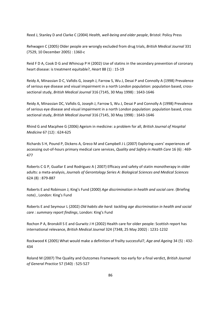Reed J, Stanley D and Clarke C (2004) *Health, well‐being and older people*, Bristol: Policy Press

Rehwagen C (2005) Older people are wrongly excluded from drug trials, *British Medical Journal* 331 (7529, 10 December 2005) : 1360‐c

Reid F D A, Cook D G and Whincup P H (2002) Use of statins in the secondary prevention of coronary heart disease: is treatment equitable?, *Heart* 88 (1) : 15‐19

Reidy A, Minassian D C, Vafidis G, Joseph J, Farrow S, Wu J, Desai P and Connolly A (1998) Prevalence of serious eye disease and visual impairment in a north London population: population based, cross‐ sectional study, *British Medical Journal* 316 (7145, 30 May 1998) : 1643‐1646

Reidy A, Minassian DC, Vafidis G, Joseph J, Farrow S, Wu J, Desai P and Connolly A (1998) Prevalence of serious eye disease and visual impairment in a north London population: population based, cross sectional study, *British Medical Journal* 316 (7145, 30 May 1998) : 1643‐1646

Rhind G and Macphee G (2006) Ageism in medicine: a problem for all, *British Journal of Hospital Medicine* 67 (12) : 624‐625

Richards S H, Pound P, Dickens A, Greco M and Campbell J L (2007) Exploring users' experiences of accessing out‐of‐hours primary medical care services, *Quality and Safety in Health Care* 16 (6) : 469‐ 477

Roberts C G P, Guallar E and Rodriguez A ( 2007) Efficacy and safety of statin monotherapy in older adults: a meta‐analysis, *Journals of Gerontology Series A: Biological Sciences and Medical Sciences* 62A (8) : 879‐887

Roberts E and Robinson J; King's Fund (2000) *Age discrimination in health and social care.* (Briefing note) , London: King's Fund

Roberts E and Seymour L (2002) *Old habits die hard: tackling age discrimination in health and social care : summary report findings*, London: King's Fund

Rochon P A, Bronskill S E and Gurwitz J H (2002) Health care for older people: Scottish report has international relevance, *British Medical Journal* 324 (7348, 25 May 2002) : 1231‐1232

Rockwood K (2005) What would make a definition of frailty successful?, *Age and Ageing* 34 (5) : 432‐ 434

Roland M (2007) The Quality and Outcomes Framework: too early for a final verdict, *British Journal of General Practice* 57 (540) : 525‐527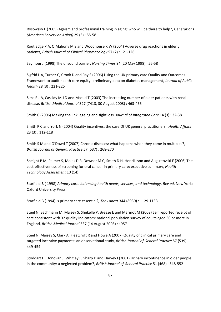Rosowsky E (2005) Ageism and professional training in aging: who will be there to help?, *Generations (American Society on Aging)* 29 (3) : 55‐58

Routledge P A, O'Mahony M S and Woodhouse K W (2004) Adverse drug reactions in elderly patients, *British Journal of Clinical Pharmacology* 57 (2) : 121‐126

Seymour J (1998) The unsound barrier, *Nursing Times* 94 (20 May 1998) : 56‐58

Sigfrid L A, Turner C, Crook D and Ray S (2006) Using the UK primary care Quality and Outcomes Framework to audit health care equity: preliminary data on diabetes management, *Journal of Public Health* 28 (3) : 221‐225

Sims R J A, Cassidy M J D and Masud T (2003) The increasing number of older patients with renal disease, *British Medical Journal* 327 (7413, 30 August 2003) : 463‐465

Smith C (2006) Making the link: ageing and sight loss, *Journal of Integrated Care* 14 (3) : 32‐38

Smith P C and York N (2004) Quality incentives: the case Of UK general practitioners , *Health Affairs* 23 (3) : 112‐118

Smith S M and O'Dowd T (2007) Chronic diseases: what happens when they come in multiples?, *British Journal of General Practice* 57 (537) : 268‐270

Speight P M, Palmer S, Moles D R, Downer M C, Smith D H, Henriksson and Augustovski F (2006) The cost‐effectiveness of screening for oral cancer in primary care: executive summary, *Health Technology Assessment* 10 (14)

Starfield B ( 1998) *Primary care: balancing health needs, services, and technology. Rev ed*, New York: Oxford University Press

Starfield B (1994) Is primary care essential?, *The Lancet* 344 (8930) : 1129‐1133

Steel N, Bachmann M, Maisey S, Shekelle P, Breeze E and Marmot M (2008) Self reported receipt of care consistent with 32 quality indicators: national population survey of adults aged 50 or more in England, *British Medical Journal* 337 (14 August 2008) : a957

Steel N, Maisey S, Clark A, Fleetcroft R and Howe A (2007) Quality of clinical primary care and targeted incentive payments: an observational study, *British Journal of General Practice* 57 (539) : 449‐454

Stoddart H, Donovan J, Whitley E, Sharp D and Harvey I (2001) Urinary incontinence in older people in the community: a neglected problem?, *British Journal of General Practice* 51 (468) : 548‐552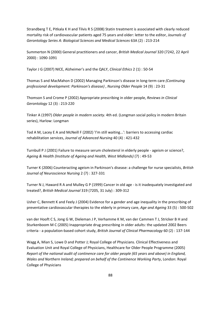Strandberg T E, Pitkala K H and Tilvis R S (2008) Statin treatment is associated with clearly reduced mortality risk of cardiovascular patients aged 75 years and older: letter to the editor, *Journals of Gerontology Series A: Biological Sciences and Medical Sciences* 63A (2) : 213‐214

Summerton N (2000) General practitioners and cancer, *British Medical Journal* 320 (7242, 22 April 2000) : 1090‐1091

Taylor J G (2007) NICE, Alzheimer's and the QALY, *Clinical Ethics* 2 (1) : 50‐54

Thomas S and MacMahon D (2002) Managing Parkinson's disease in long‐term care *(Continuing professional development: Parkinson's disease)* , *Nursing Older People* 14 (9) : 23‐31

Thomson S and Crome P (2002) Appropriate prescribing in older people, *Reviews in Clinical Gerontology* 12 (3) : 213‐220

Tinker A (1997) *Older people in modern society.* 4th ed. (Longman social policy in modern Britain series), Harlow: Longman

Tod A M, Lacey E A and McNeill F (2002) 'I'm still waiting...': barriers to accessing cardiac rehabilitation services, *Journal of Advanced Nursing* 40 (4) : 421‐432

Turnbull P J (2001) Failure to measure serum cholesterol in elderly people ‐ ageism or science?, *Ageing & Health (Institute of Ageing and Health, West Midlands)* (7) : 49‐53

Turner K (2006) Counteracting ageism in Parkinson's disease: a challenge for nurse specialists, *British Journal of Neuroscience Nursing* 2 (7) : 327‐331

Turner N J, Haward R A and Mulley G P (1999) Cancer in old age ‐ is it inadequately investigated and treated?, *British Medical Journal* 319 (7205, 31 July) : 309‐312

Usher C, Bennett K and Feely J (2004) Evidence for a gender and age inequality in the prescribing of preventative cardiovascular therapies to the elderly in primary care, *Age and Ageing* 33 (5) : 500‐502

van der Hooft C S, Jong G W, Dieleman J P, Verhamme K M, van der Cammen T J, Stricker B H and Sturkenboom M C (2005) Inappropriate drug prescribing in older adults: the updated 2002 Beers criteria ‐ a population‐based cohort study, *British Journal of Clinical Pharmacology* 60 (2) : 137‐144

Wagg A, Mian S, Lowe D and Potter J; Royal College of Physicians. Clinical Effectiveness and Evaluation Unit and Royal College of Physicians, Healthcare for Older People Programme (2005) *Report of the national audit of continence care for older people (65 years and above) in England, Wales and Northern Ireland; prepared on behalf of the Continence Working Party*, London: Royal College of Physicians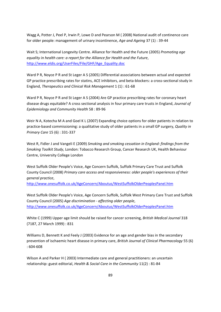Wagg A, Potter J, Peel P, Irwin P, Lowe D and Pearson M ( 2008) National audit of continence care for older people: management of urinary incontinence, *Age and Ageing* 37 (1) : 39‐44

Wait S; International Longevity Centre. Alliance for Health and the Future (2005) *Promoting age equality in health care: a report for the Alliance for Health and the Future*, http://www.eldis.org/UserFiles/File/GHF/Age\_Equality.doc

Ward P R, Noyce P R and St Leger A S (2005) Differential associations between actual and expected GP practice prescribing rates for statins, ACE inhibitors, and beta‐blockers: a cross‐sectional study in England, *Therapeutics and Clinical Risk Management* 1 (1) : 61‐68

Ward P R, Noyce P R and St Leger A S (2004) Are GP practice prescribing rates for coronary heart disease drugs equitable? A cross sectional analysis in four primary care trusts in England, *Journal of Epidemiology and Community Health* 58 : 89‐96

Weir N A, Kotecha M A and Goel K L (2007) Expanding choice options for older patients in relation to practice‐based commissioning: a qualitative study of older patients in a small GP surgery, *Quality in Primary Care* 15 (6) : 331‐337

West R, Fidler J and Vangeli E (2009) *Smoking and smoking cessation in England: findings from the Smoking Toolkit Study*, London: Tobacco Research Group, Cancer Research UK, Health Behaviour Centre, University College London

West Suffolk Older People's Voice, Age Concern Suffolk, Suffolk Primary Care Trust and Suffolk County Council (2008) *Primary care access and responsiveness: older people's experiences of their general practice*,

http://www.onesuffolk.co.uk/AgeConcern/Aboutus/WestSuffolkOlderPeoplesPanel.htm

West Suffolk Older People's Voice, Age Concern Suffolk, Suffolk West Primary Care Trust and Suffolk County Council (2005) *Age discrimination ‐ affecting older people*, http://www.onesuffolk.co.uk/AgeConcern/Aboutus/WestSuffolkOlderPeoplesPanel.htm

White C (1999) Upper age limit should be raised for cancer screening, *British Medical Journal* 318 (7187, 27 March 1999) : 831

Williams D, Bennett K and Feely J (2003) Evidence for an age and gender bias in the secondary prevention of ischaemic heart disease in primary care, *British Journal of Clinical Pharmacology* 55 (6) : 604‐608

Wilson A and Parker H ( 2003) Intermediate care and general practitioners: an uncertain relationship: guest editorial, *Health & Social Care in the Community* 11(2) : 81‐84